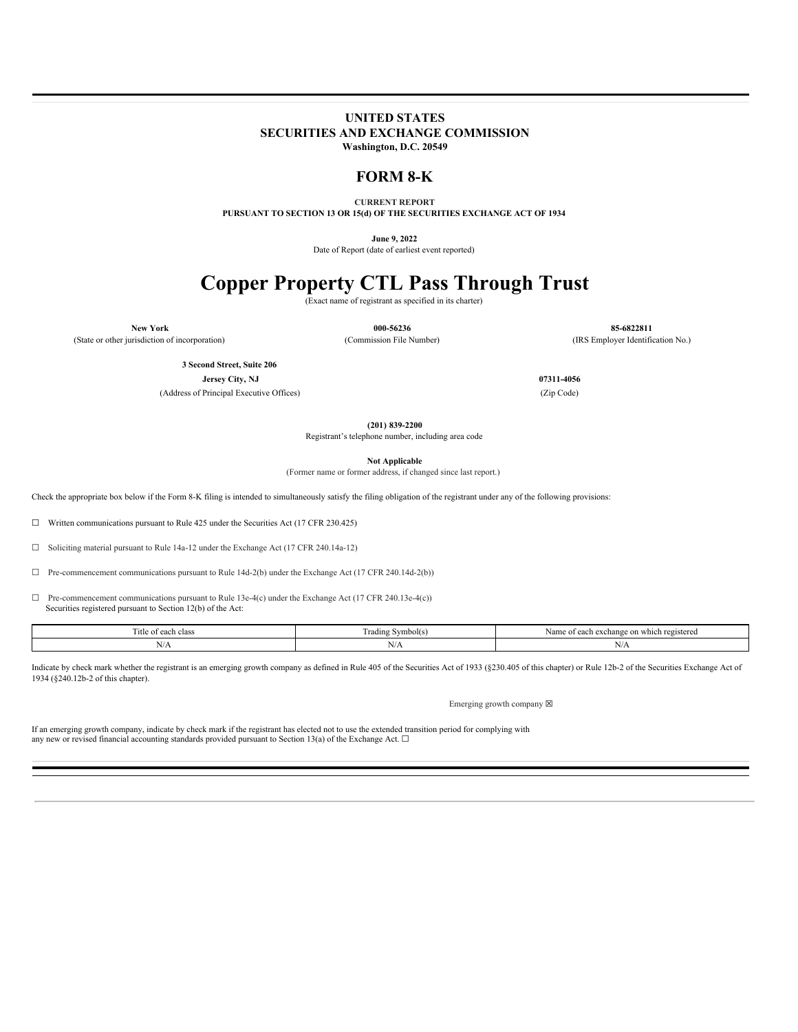# **UNITED STATES SECURITIES AND EXCHANGE COMMISSION Washington, D.C. 20549**

**FORM 8-K**

**CURRENT REPORT PURSUANT TO SECTION 13 OR 15(d) OF THE SECURITIES EXCHANGE ACT OF 1934**

**June 9, 2022**

Date of Report (date of earliest event reported)

# **Copper Property CTL Pass Through Trust**

(Exact name of registrant as specified in its charter)

**New York 000-56236 85-6822811** (State or other jurisdiction of incorporation) (Commission File Number) (IRS Employer Identification No.)

> **3 Second Street, Suite 206 Jersey City, NJ 07311-4056**

(Address of Principal Executive Offices) (Zip Code)

**(201) 839-2200**

Registrant's telephone number, including area code

**Not Applicable**

(Former name or former address, if changed since last report.)

Check the appropriate box below if the Form 8-K filing is intended to simultaneously satisfy the filing obligation of the registrant under any of the following provisions:

☐ Written communications pursuant to Rule 425 under the Securities Act (17 CFR 230.425)

☐ Soliciting material pursuant to Rule 14a-12 under the Exchange Act (17 CFR 240.14a-12)

☐ Pre-commencement communications pursuant to Rule 14d-2(b) under the Exchange Act (17 CFR 240.14d-2(b))

 $\Box$  Pre-commencement communications pursuant to Rule 13e-4(c) under the Exchange Act (17 CFR 240.13e-4(c)) Securities registered pursuant to Section 12(b) of the Act:

|        |       | ui exchange           |
|--------|-------|-----------------------|
|        |       | Nam                   |
| --     |       | e on which registered |
| 1 itle | Sam   | .: OT                 |
| class  | .     | $-0.015$              |
| each   | - пач |                       |
|        |       |                       |
|        | N/A   | L V / Z L             |

Indicate by check mark whether the registrant is an emerging growth company as defined in Rule 405 of the Securities Act of 1933 (§230.405 of this chapter) or Rule 12b-2 of the Securities Exchange Act of 1934 (§240.12b-2 of this chapter).

Emerging growth company  $\boxtimes$ 

If an emerging growth company, indicate by check mark if the registrant has elected not to use the extended transition period for complying with any new or revised financial accounting standards provided pursuant to Section 13(a) of the Exchange Act.  $\Box$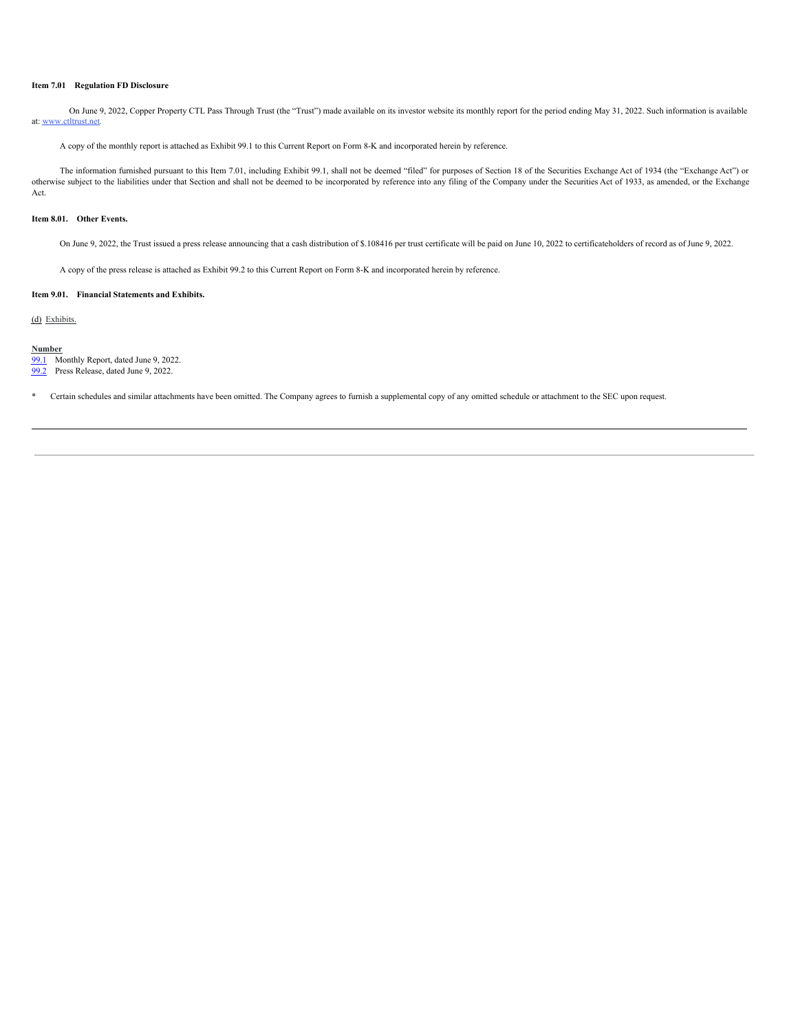#### **Item 7.01 Regulation FD Disclosure**

On June 9, 2022, Copper Property CTL Pass Through Trust (the "Trust") made available on its investor website its monthly report for the period ending May 31, 2022. Such information is available at: www.ctltrust.net.

A copy of the monthly report is attached as Exhibit 99.1 to this Current Report on Form 8-K and incorporated herein by reference.

The information furnished pursuant to this Item 7.01, including Exhibit 99.1, shall not be deemed "filed" for purposes of Section 18 of the Securities Exchange Act of 1934 (the "Exchange Act") or otherwise subject to the liabilities under that Section and shall not be deemed to be incorporated by reference into any filing of the Company under the Securities Act of 1933, as amended, or the Exchange Act.

#### **Item 8.01. Other Events.**

On June 9, 2022, the Trust issued a press release announcing that a cash distribution of \$.108416 per trust certificate will be paid on June 10, 2022 to certificateholders of record as of June 9, 2022.

A copy of the press release is attached as Exhibit 99.2 to this Current Report on Form 8-K and incorporated herein by reference.

#### **Item 9.01. Financial Statements and Exhibits.**

(d) Exhibits.

#### **Number**

[99.1](#page-14-0) Monthly Report, dated June 9, 2022.

[99.2](#page-27-0) Press Release, dated June 9, 2022.

\* Certain schedules and similar attachments have been omitted. The Company agrees to furnish a supplemental copy of any omitted schedule or attachment to the SEC upon request.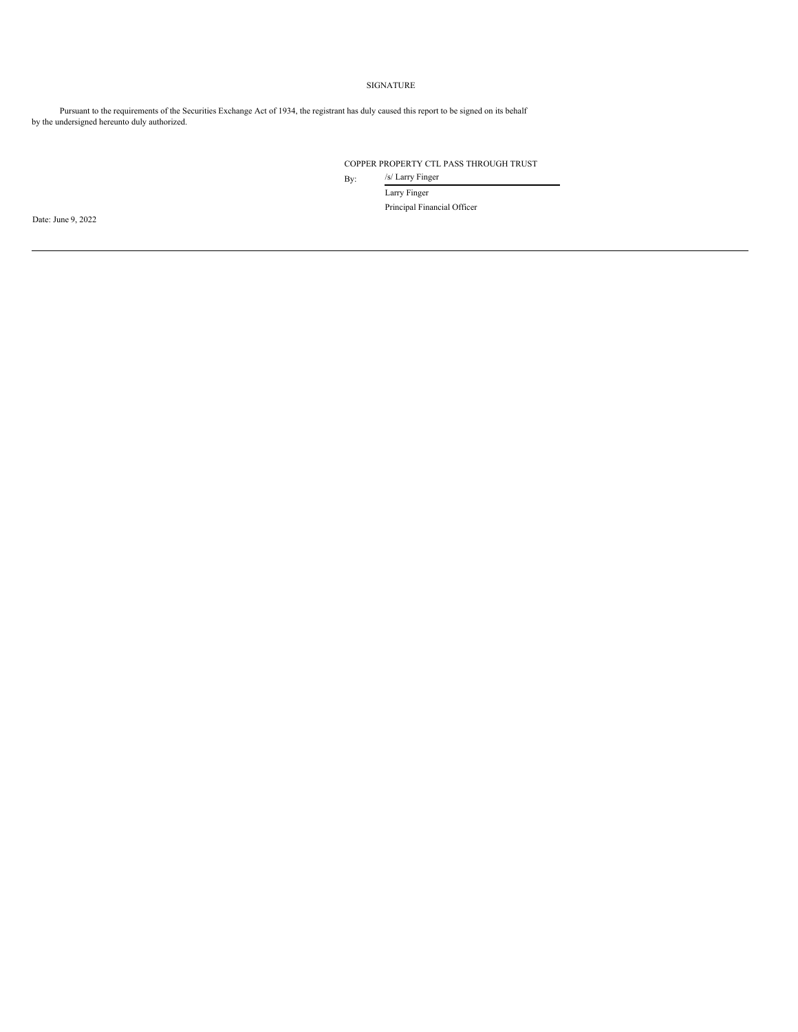# SIGNATURE

Pursuant to the requirements of the Securities Exchange Act of 1934, the registrant has duly caused this report to be signed on its behalf by the undersigned hereunto duly authorized.

# COPPER PROPERTY CTL PASS THROUGH TRUST

By: /s/ Larry Finger

Larry Finger Principal Financial Officer

Date: June 9, 2022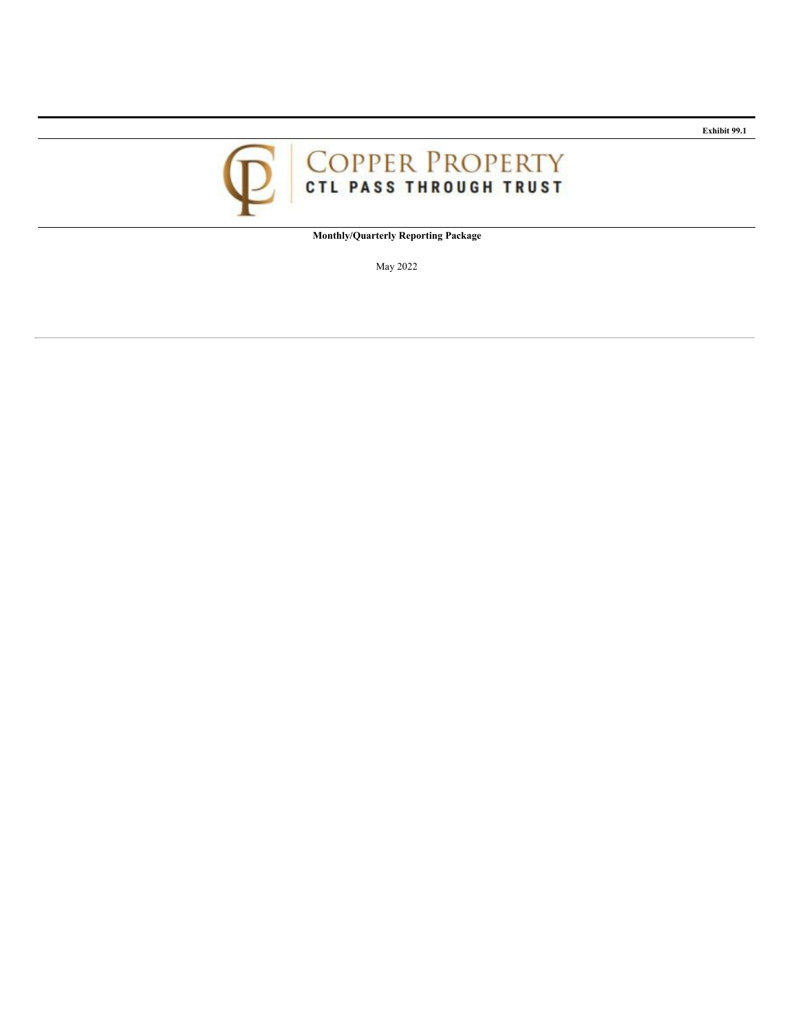

**Monthly/Quarterly Reporting Package**

May 2022

**Exhibit 99.1**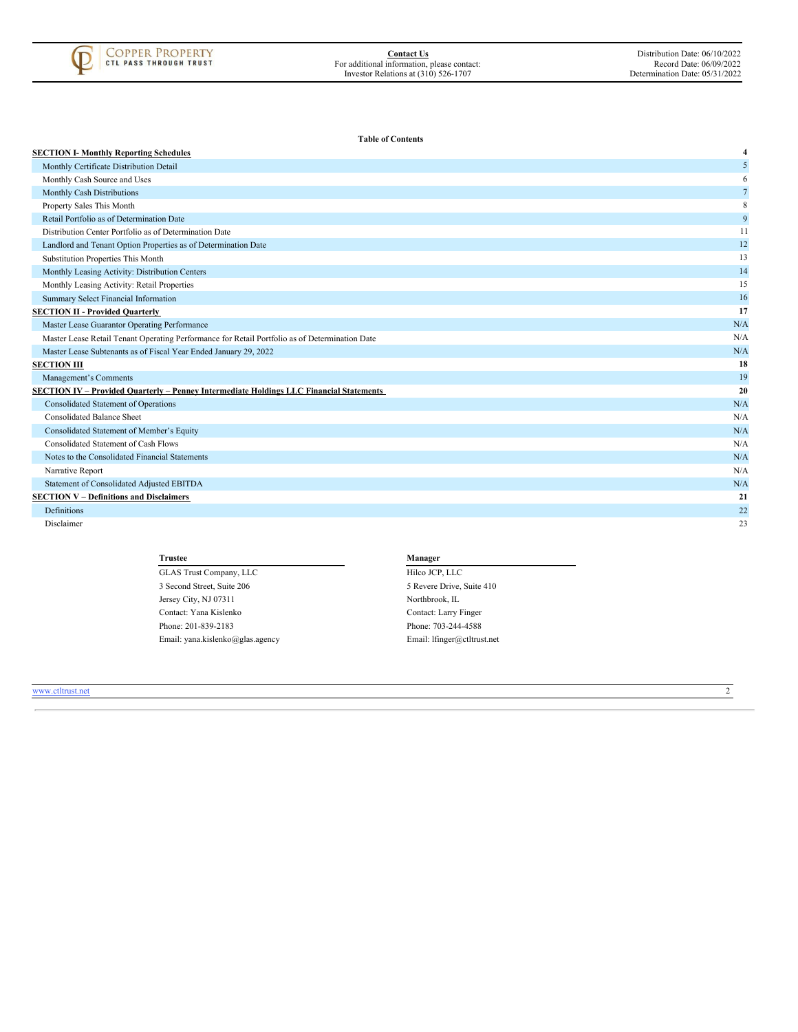

**Table of Contents**

| <b>SECTION I- Monthly Reporting Schedules</b>                                                  | 4              |
|------------------------------------------------------------------------------------------------|----------------|
| Monthly Certificate Distribution Detail                                                        | 5              |
| Monthly Cash Source and Uses                                                                   | 6              |
| Monthly Cash Distributions                                                                     | $\overline{7}$ |
| Property Sales This Month                                                                      | 8              |
| Retail Portfolio as of Determination Date                                                      | 9              |
| Distribution Center Portfolio as of Determination Date                                         | 11             |
| Landlord and Tenant Option Properties as of Determination Date                                 | 12             |
| Substitution Properties This Month                                                             | 13             |
| Monthly Leasing Activity: Distribution Centers                                                 | 14             |
| Monthly Leasing Activity: Retail Properties                                                    | 15             |
| Summary Select Financial Information                                                           | 16             |
| <b>SECTION II - Provided Quarterly</b>                                                         | 17             |
| Master Lease Guarantor Operating Performance                                                   | N/A            |
| Master Lease Retail Tenant Operating Performance for Retail Portfolio as of Determination Date | N/A            |
| Master Lease Subtenants as of Fiscal Year Ended January 29, 2022                               | N/A            |
| <b>SECTION III</b>                                                                             | 18             |
| Management's Comments                                                                          | 19             |
| <b>SECTION IV - Provided Quarterly - Penney Intermediate Holdings LLC Financial Statements</b> | 20             |
| <b>Consolidated Statement of Operations</b>                                                    | N/A            |
| <b>Consolidated Balance Sheet</b>                                                              | N/A            |
| Consolidated Statement of Member's Equity                                                      | N/A            |
| Consolidated Statement of Cash Flows                                                           | N/A            |
| Notes to the Consolidated Financial Statements                                                 | N/A            |
| Narrative Report                                                                               | N/A            |
| Statement of Consolidated Adjusted EBITDA                                                      | N/A            |
| <b>SECTION V - Definitions and Disclaimers</b>                                                 | 21             |
| Definitions                                                                                    | 22             |
| Disclaimer                                                                                     | 23             |

**Trustee Manager** GLAS Trust Company, LLC Hilco JCP, LLC 3 Second Street, Suite 206 5 Revere Drive, Suite 410 Jersey City, NJ 07311 Northbrook, IL Contact: Yana Kislenko Contact: Larry Finger Phone: 201-839-2183 Phone: 703-244-4588

Email: yana.kislenko@glas.agency Email: lfinger@ctltrust.net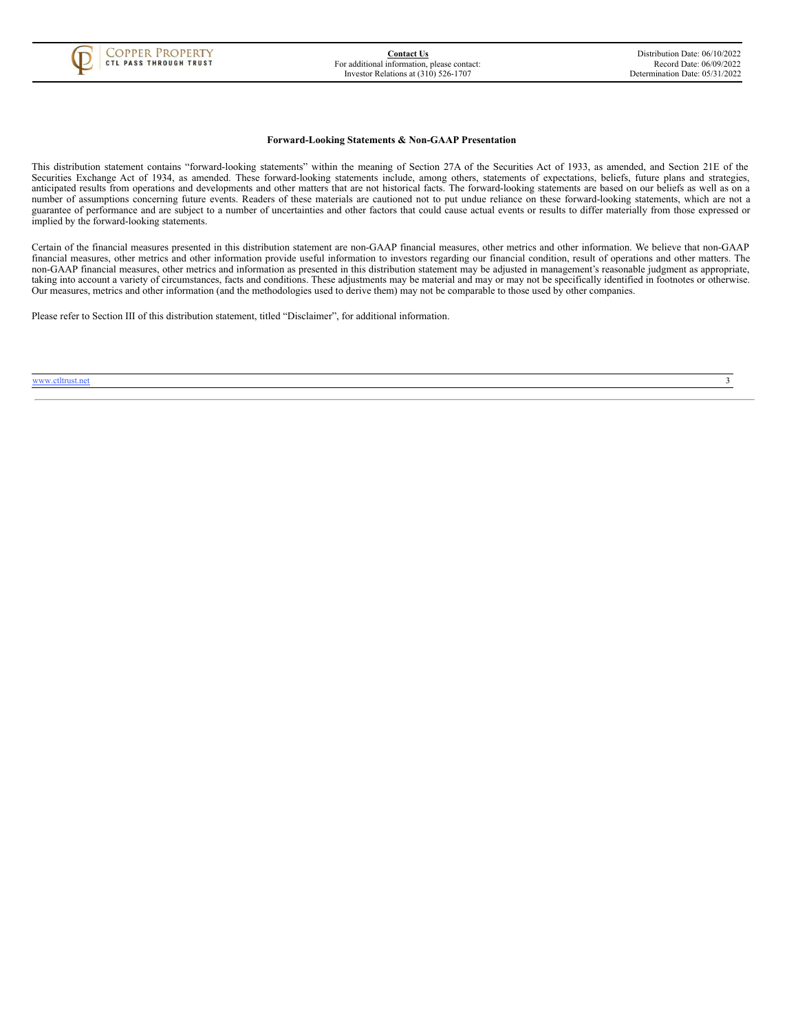

#### **Forward-Looking Statements & Non-GAAP Presentation**

This distribution statement contains "forward-looking statements" within the meaning of Section 27A of the Securities Act of 1933, as amended, and Section 21E of the Securities Exchange Act of 1934, as amended. These forward-looking statements include, among others, statements of expectations, beliefs, future plans and strategies, anticipated results from operations and developments and other matters that are not historical facts. The forward-looking statements are based on our beliefs as well as on a number of assumptions concerning future events. Readers of these materials are cautioned not to put undue reliance on these forward-looking statements, which are not a guarantee of performance and are subject to a number of uncertainties and other factors that could cause actual events or results to differ materially from those expressed or implied by the forward-looking statements.

Certain of the financial measures presented in this distribution statement are non-GAAP financial measures, other metrics and other information. We believe that non-GAAP financial measures, other metrics and other information provide useful information to investors regarding our financial condition, result of operations and other matters. The non-GAAP financial measures, other metrics and information as presented in this distribution statement may be adjusted in management's reasonable judgment as appropriate, taking into account a variety of circumstances, facts and conditions. These adjustments may be material and may or may not be specifically identified in footnotes or otherwise. Our measures, metrics and other information (and the methodologies used to derive them) may not be comparable to those used by other companies.

<span id="page-5-0"></span>Please refer to Section III of this distribution statement, titled "Disclaimer", for additional information.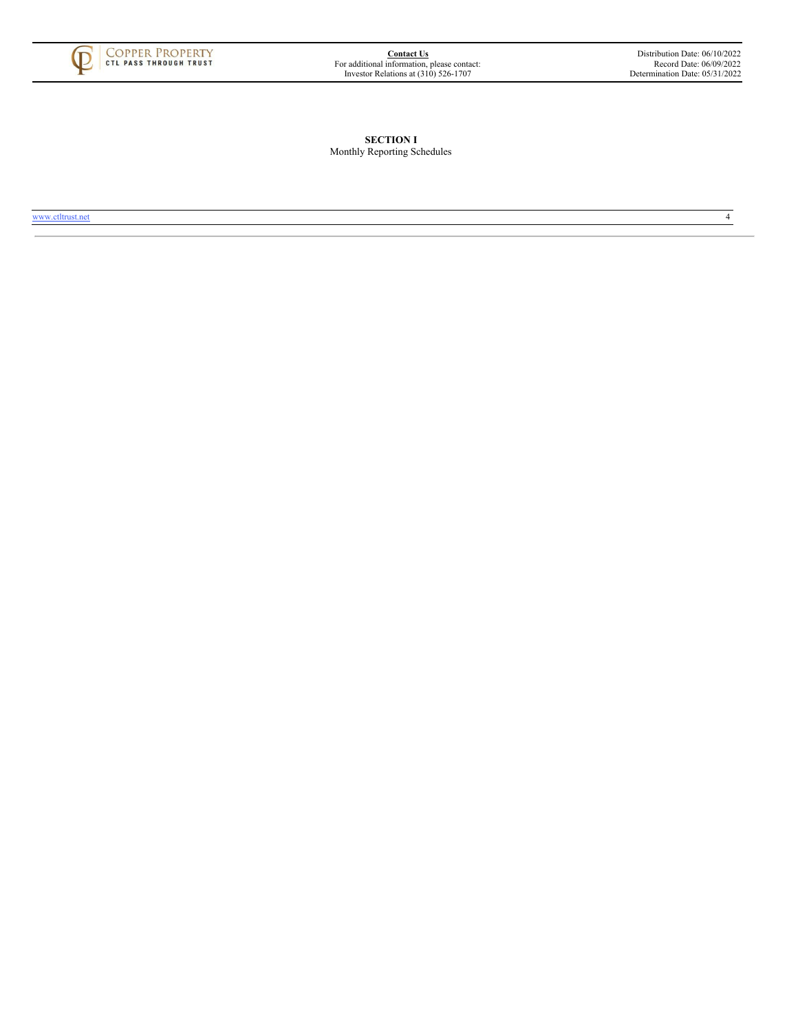<span id="page-6-0"></span>

**SECTION I** Monthly Reporting Schedules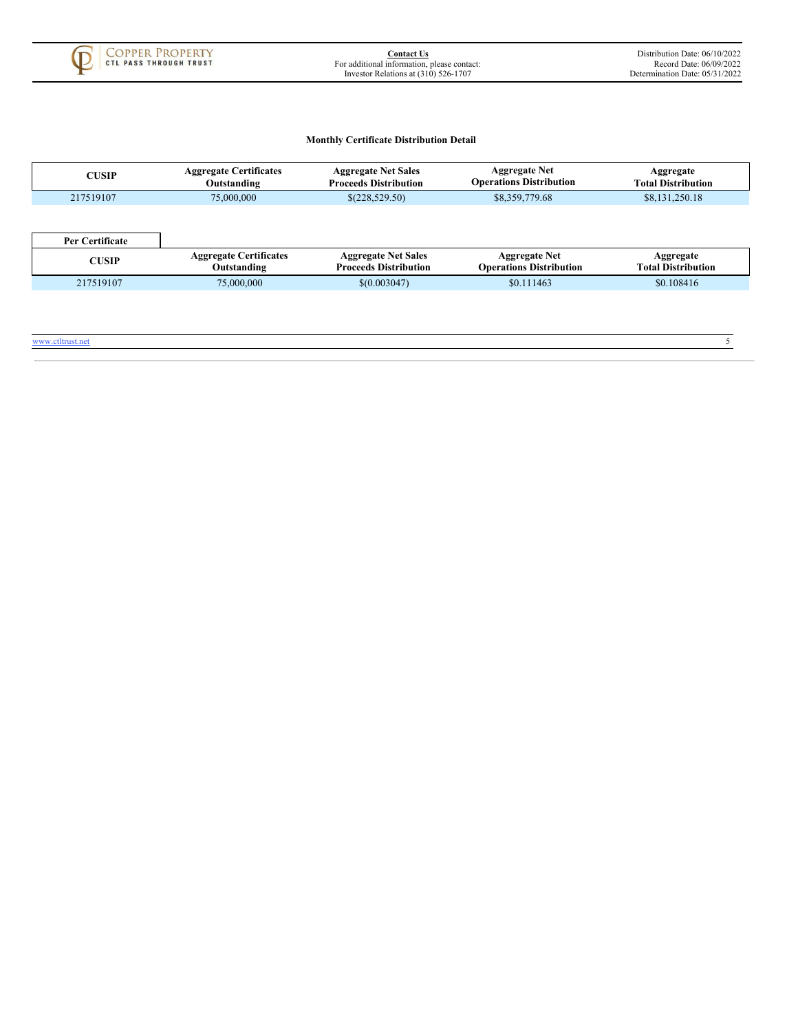

# **Monthly Certificate Distribution Detail**

<span id="page-7-0"></span>

| <b>CUSIP</b>     | <b>Aggregate Certificates</b><br>Outstanding | <b>Aggregate Net Sales</b><br><b>Proceeds Distribution</b> | <b>Aggregate Net</b><br><b>Operations Distribution</b> | Aggregate<br><b>Total Distribution</b> |
|------------------|----------------------------------------------|------------------------------------------------------------|--------------------------------------------------------|----------------------------------------|
| 217519107        | 75,000,000                                   | \$(228,529.50)                                             | \$8,359,779.68                                         | \$8,131,250.18                         |
| Per Certificate  |                                              |                                                            |                                                        |                                        |
| <b>CUSIP</b>     | <b>Aggregate Certificates</b><br>Outstanding | <b>Aggregate Net Sales</b><br><b>Proceeds Distribution</b> | <b>Aggregate Net</b><br><b>Operations Distribution</b> | Aggregate<br><b>Total Distribution</b> |
| 217519107        | 75,000,000                                   | \$(0.003047)                                               | \$0.111463                                             | \$0.108416                             |
| www.ctltrust.net |                                              |                                                            |                                                        |                                        |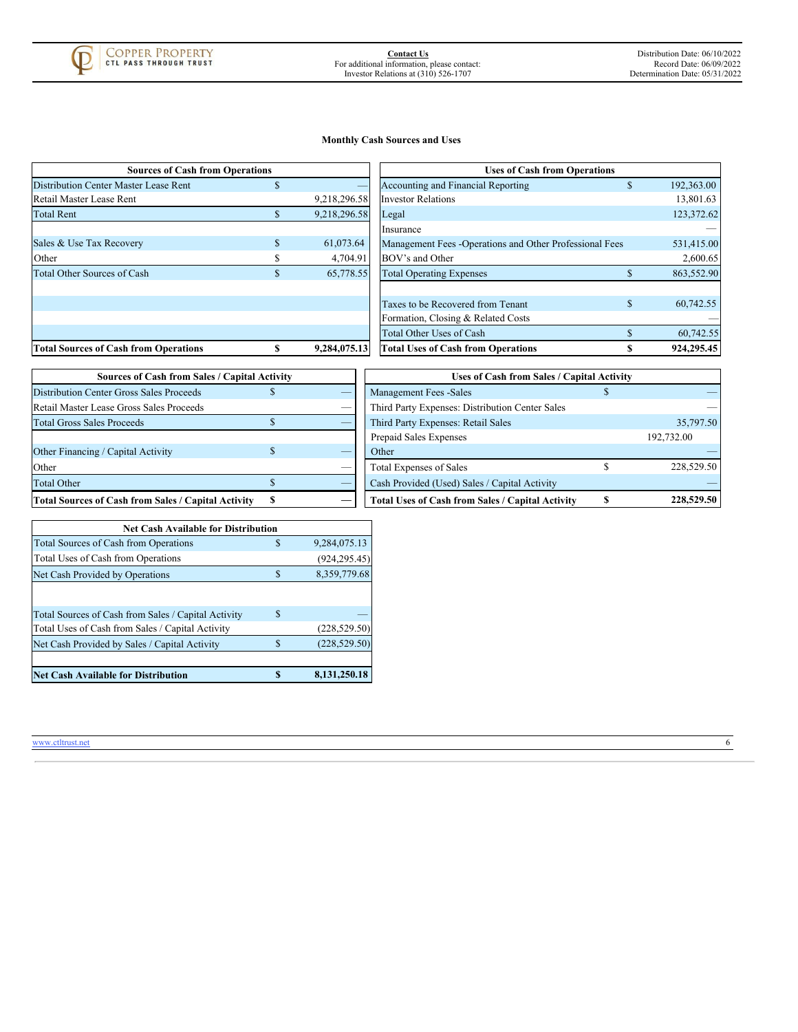

# **Monthly Cash Sources and Uses**

| <b>Sources of Cash from Operations</b>       |     |              | <b>Uses of Cash from Operations</b>                      |   |            |
|----------------------------------------------|-----|--------------|----------------------------------------------------------|---|------------|
| Distribution Center Master Lease Rent        | \$. |              | Accounting and Financial Reporting                       |   | 192,363.00 |
| Retail Master Lease Rent                     |     | 9,218,296.58 | <b>Investor Relations</b>                                |   | 13,801.63  |
| <b>Total Rent</b>                            | ъ   | 9.218.296.58 | Legal                                                    |   | 123,372.62 |
|                                              |     |              | Insurance                                                |   |            |
| Sales & Use Tax Recovery                     | \$. | 61,073.64    | Management Fees - Operations and Other Professional Fees |   | 531,415.00 |
| Other                                        |     | 4,704.91     | BOV's and Other                                          |   | 2,600.65   |
| <b>Total Other Sources of Cash</b>           | \$. | 65,778.55    | <b>Total Operating Expenses</b>                          |   | 863,552.90 |
|                                              |     |              |                                                          |   |            |
|                                              |     |              | Taxes to be Recovered from Tenant                        | S | 60,742.55  |
|                                              |     |              | Formation, Closing & Related Costs                       |   |            |
|                                              |     |              | Total Other Uses of Cash                                 |   | 60,742.55  |
| <b>Total Sources of Cash from Operations</b> |     | 9.284,075.13 | <b>Total Uses of Cash from Operations</b>                |   | 924,295.45 |

| Sources of Cash from Operations              |              |              | <b>Uses of Cash from Operations</b>                      |   |            |
|----------------------------------------------|--------------|--------------|----------------------------------------------------------|---|------------|
| <b>Distribution Center Master Lease Rent</b> | a.           |              | Accounting and Financial Reporting                       | æ | 192,363.00 |
| Retail Master Lease Rent                     |              | 9,218,296.58 | <b>Investor Relations</b>                                |   | 13,801.63  |
| <b>Total Rent</b>                            |              | 9,218,296.58 | Legal                                                    |   | 123,372.62 |
|                                              |              |              | Insurance                                                |   |            |
| Sales & Use Tax Recovery                     | \$           | 61,073.64    | Management Fees - Operations and Other Professional Fees |   | 531,415.00 |
| Other                                        |              | 4,704.91     | BOV's and Other                                          |   | 2,600.65   |
| <b>Total Other Sources of Cash</b>           | $\mathbf{D}$ | 65,778.55    | <b>Total Operating Expenses</b>                          |   | 863,552.90 |
|                                              |              |              |                                                          |   |            |
|                                              |              |              | Taxes to be Recovered from Tenant                        | S | 60,742.55  |
|                                              |              |              | Formation, Closing & Related Costs                       |   |            |
|                                              |              |              | Total Other Uses of Cash                                 |   | 60,742.55  |
| <b>Total Sources of Cash from Operations</b> |              | 9.284,075.13 | <b>Total Uses of Cash from Operations</b>                |   | 924.295.45 |

| Sources of Cash from Sales / Capital Activity       |   |  |  |  |  |  |  |
|-----------------------------------------------------|---|--|--|--|--|--|--|
| <b>Distribution Center Gross Sales Proceeds</b>     |   |  |  |  |  |  |  |
| Retail Master Lease Gross Sales Proceeds            |   |  |  |  |  |  |  |
| Total Gross Sales Proceeds                          |   |  |  |  |  |  |  |
|                                                     |   |  |  |  |  |  |  |
| Other Financing / Capital Activity                  | Ж |  |  |  |  |  |  |
| Other                                               |   |  |  |  |  |  |  |
| <b>Total Other</b>                                  |   |  |  |  |  |  |  |
| Total Sources of Cash from Sales / Capital Activity | S |  |  |  |  |  |  |

| <b>Sources of Cash from Sales / Capital Activity</b>       |  | Uses of Cash from Sales / Capital Activity |                                                         |  |            |
|------------------------------------------------------------|--|--------------------------------------------|---------------------------------------------------------|--|------------|
| <b>Distribution Center Gross Sales Proceeds</b>            |  | _                                          | <b>Management Fees -Sales</b>                           |  |            |
| Retail Master Lease Gross Sales Proceeds                   |  | __                                         | Third Party Expenses: Distribution Center Sales         |  |            |
| <b>Total Gross Sales Proceeds</b>                          |  |                                            | Third Party Expenses: Retail Sales                      |  | 35,797.50  |
|                                                            |  |                                            | Prepaid Sales Expenses                                  |  | 192,732.00 |
| Other Financing / Capital Activity                         |  |                                            | Other                                                   |  |            |
| Other                                                      |  | _                                          | <b>Total Expenses of Sales</b>                          |  | 228,529.50 |
| <b>Total Other</b>                                         |  |                                            | Cash Provided (Used) Sales / Capital Activity           |  |            |
| <b>Total Sources of Cash from Sales / Capital Activity</b> |  |                                            | <b>Total Uses of Cash from Sales / Capital Activity</b> |  | 228,529.50 |

<span id="page-8-0"></span>

| <b>Net Cash Available for Distribution</b>          |   |                |  |  |  |  |  |
|-----------------------------------------------------|---|----------------|--|--|--|--|--|
| <b>Total Sources of Cash from Operations</b>        | S | 9,284,075.13   |  |  |  |  |  |
| Total Uses of Cash from Operations                  |   | (924, 295, 45) |  |  |  |  |  |
| Net Cash Provided by Operations                     | S | 8,359,779.68   |  |  |  |  |  |
|                                                     |   |                |  |  |  |  |  |
| Total Sources of Cash from Sales / Capital Activity | S |                |  |  |  |  |  |
| Total Uses of Cash from Sales / Capital Activity    |   | (228, 529.50)  |  |  |  |  |  |
| Net Cash Provided by Sales / Capital Activity       |   | (228, 529, 50) |  |  |  |  |  |
|                                                     |   |                |  |  |  |  |  |
| Net Cash Available for Distribution                 |   | 8,131,250.18   |  |  |  |  |  |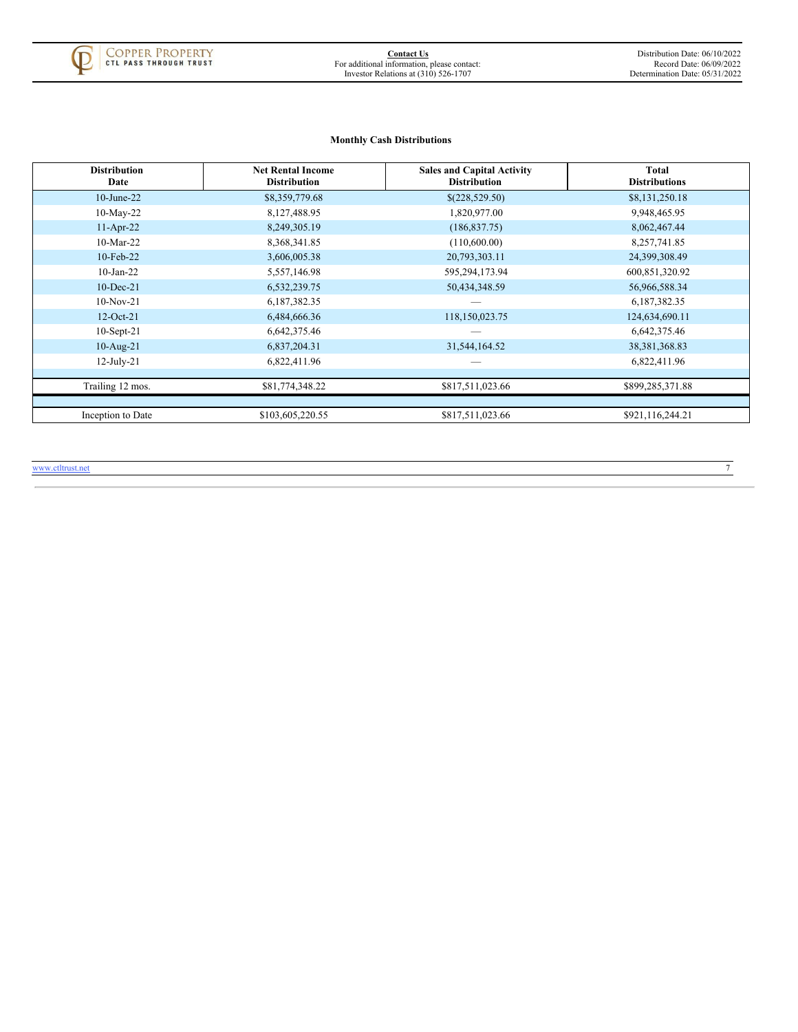

# **Monthly Cash Distributions**

| <b>Distribution</b><br>Date | <b>Net Rental Income</b><br><b>Distribution</b> | <b>Sales and Capital Activity</b><br><b>Distribution</b> | Total<br><b>Distributions</b> |
|-----------------------------|-------------------------------------------------|----------------------------------------------------------|-------------------------------|
| $10$ -June-22               | \$8,359,779.68                                  | \$(228,529.50)                                           | \$8,131,250.18                |
| $10$ -May-22                | 8,127,488.95                                    | 1,820,977.00                                             | 9,948,465.95                  |
| $11-Apr-22$                 | 8,249,305.19                                    | (186, 837.75)                                            | 8,062,467.44                  |
| $10-Mar-22$                 | 8,368,341.85                                    | (110,600.00)                                             | 8,257,741.85                  |
| $10$ -Feb-22                | 3,606,005.38                                    | 20,793,303.11                                            | 24,399,308.49                 |
| $10$ -Jan-22                | 5,557,146.98                                    | 595,294,173.94                                           | 600,851,320.92                |
| $10$ -Dec-21                | 6,532,239.75                                    | 50,434,348.59                                            | 56,966,588.34                 |
| $10-Nov-21$                 | 6,187,382.35                                    |                                                          | 6,187,382.35                  |
| $12-Oct-21$                 | 6,484,666.36                                    | 118,150,023.75                                           | 124,634,690.11                |
| $10$ -Sept-21               | 6,642,375.46                                    |                                                          | 6,642,375.46                  |
| $10$ -Aug-21                | 6,837,204.31                                    | 31,544,164.52                                            | 38, 381, 368.83               |
| $12$ -July-21               | 6,822,411.96                                    |                                                          | 6,822,411.96                  |
|                             |                                                 |                                                          |                               |
| Trailing 12 mos.            | \$81,774,348.22                                 | \$817,511,023.66                                         | \$899,285,371.88              |
|                             |                                                 |                                                          |                               |
| Inception to Date           | \$103,605,220.55                                | \$817,511,023.66                                         | \$921,116,244.21              |

<span id="page-9-0"></span>www.ctltrust.net 7 and 7 and 7 and 7 and 7 and 7 and 7 and 7 and 7 and 7 and 7 and 7 and 7 and 7 and 7 and 7 and 7 and 7 and 7 and 7 and 7 and 7 and 7 and 7 and 7 and 7 and 7 and 7 and 7 and 7 and 7 and 7 and 7 and 7 and 7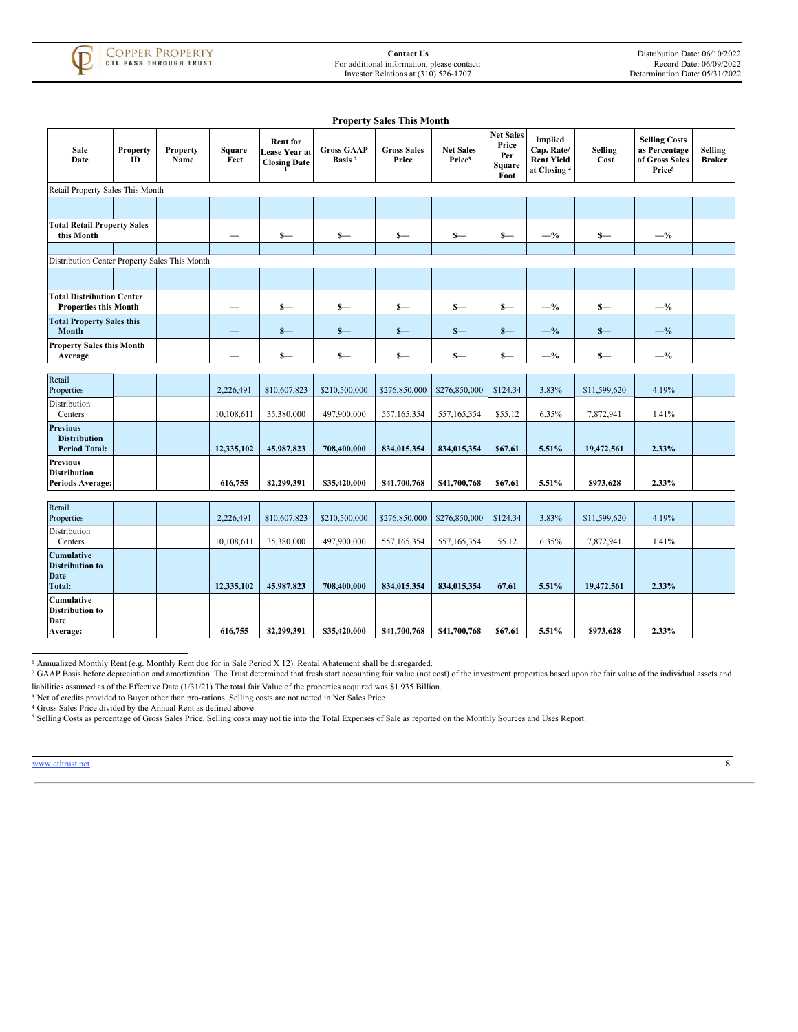

|                                                                   |                |                         |                |                                                         |                                         | <b>Property Sales This Month</b> |                                        |                                                    |                                                                              |                        |                                                                               |                                 |
|-------------------------------------------------------------------|----------------|-------------------------|----------------|---------------------------------------------------------|-----------------------------------------|----------------------------------|----------------------------------------|----------------------------------------------------|------------------------------------------------------------------------------|------------------------|-------------------------------------------------------------------------------|---------------------------------|
| Sale<br>Date                                                      | Property<br>ID | <b>Property</b><br>Name | Square<br>Feet | <b>Rent for</b><br>Lease Year at<br><b>Closing Date</b> | <b>Gross GAAP</b><br>Basis <sup>2</sup> | <b>Gross Sales</b><br>Price      | <b>Net Sales</b><br>Price <sup>3</sup> | <b>Net Sales</b><br>Price<br>Per<br>Square<br>Foot | <b>Implied</b><br>Cap. Rate/<br><b>Rent Yield</b><br>at Closing <sup>4</sup> | <b>Selling</b><br>Cost | <b>Selling Costs</b><br>as Percentage<br>of Gross Sales<br>Price <sup>5</sup> | <b>Selling</b><br><b>Broker</b> |
| Retail Property Sales This Month                                  |                |                         |                |                                                         |                                         |                                  |                                        |                                                    |                                                                              |                        |                                                                               |                                 |
|                                                                   |                |                         |                |                                                         |                                         |                                  |                                        |                                                    |                                                                              |                        |                                                                               |                                 |
| <b>Total Retail Property Sales</b><br>this Month                  |                |                         |                | $s-$                                                    | $S-$                                    | $s-$                             | $s-$                                   | $s-$                                               | $-$ %                                                                        | $s-$                   | $-$ %                                                                         |                                 |
|                                                                   |                |                         |                |                                                         |                                         |                                  |                                        |                                                    |                                                                              |                        |                                                                               |                                 |
| Distribution Center Property Sales This Month                     |                |                         |                |                                                         |                                         |                                  |                                        |                                                    |                                                                              |                        |                                                                               |                                 |
|                                                                   |                |                         |                |                                                         |                                         |                                  |                                        |                                                    |                                                                              |                        |                                                                               |                                 |
| <b>Total Distribution Center</b><br><b>Properties this Month</b>  |                |                         |                | $s-$                                                    | $s-$                                    | $s-$                             | $S-$                                   | $s-$                                               | $-$ %                                                                        | $s-$                   | $-$ %                                                                         |                                 |
| <b>Total Property Sales this</b><br>Month                         |                |                         |                | $s-$                                                    | $S-$                                    | $S-$                             | $s-$                                   | $S-$                                               | $-$ %                                                                        | $s-$                   | $-$ %                                                                         |                                 |
| <b>Property Sales this Month</b><br>Average                       |                |                         |                | $s-$                                                    | $s-$                                    | $s-$                             | $S-$                                   | $s-$                                               | $-$ %                                                                        | $s-$                   | $-$ %                                                                         |                                 |
|                                                                   |                |                         |                |                                                         |                                         |                                  |                                        |                                                    |                                                                              |                        |                                                                               |                                 |
| Retail<br>Properties                                              |                |                         | 2,226,491      | \$10,607,823                                            | \$210,500,000                           | \$276,850,000                    | \$276,850,000                          | \$124.34                                           | 3.83%                                                                        | \$11,599,620           | 4.19%                                                                         |                                 |
| Distribution<br>Centers                                           |                |                         | 10,108,611     | 35,380,000                                              | 497,900,000                             | 557,165,354                      | 557,165,354                            | \$55.12                                            | 6.35%                                                                        | 7,872,941              | 1.41%                                                                         |                                 |
| <b>Previous</b><br><b>Distribution</b><br><b>Period Total:</b>    |                |                         | 12,335,102     | 45,987,823                                              | 708,400,000                             | 834,015,354                      | 834,015,354                            | \$67.61                                            | 5.51%                                                                        | 19,472,561             | 2.33%                                                                         |                                 |
| <b>Previous</b><br><b>Distribution</b><br><b>Periods Average:</b> |                |                         | 616,755        | \$2,299,391                                             | \$35,420,000                            | \$41,700,768                     | \$41,700,768                           | \$67.61                                            | 5.51%                                                                        | \$973,628              | 2.33%                                                                         |                                 |
|                                                                   |                |                         |                |                                                         |                                         |                                  |                                        |                                                    |                                                                              |                        |                                                                               |                                 |
| Retail<br>Properties                                              |                |                         | 2,226,491      | \$10,607,823                                            | \$210,500,000                           | \$276,850,000                    | \$276,850,000                          | \$124.34                                           | 3.83%                                                                        | \$11,599,620           | 4.19%                                                                         |                                 |
| Distribution<br>Centers                                           |                |                         | 10,108,611     | 35,380,000                                              | 497,900,000                             | 557,165,354                      | 557,165,354                            | 55.12                                              | 6.35%                                                                        | 7,872,941              | 1.41%                                                                         |                                 |
| Cumulative<br><b>Distribution to</b><br>Date<br><b>Total:</b>     |                |                         | 12,335,102     | 45,987,823                                              | 708,400,000                             | 834,015,354                      | 834,015,354                            | 67.61                                              | 5.51%                                                                        | 19,472,561             | 2.33%                                                                         |                                 |
| Cumulative<br><b>Distribution to</b><br>Date<br>Average:          |                |                         | 616,755        | \$2,299,391                                             | \$35,420,000                            | \$41,700,768                     | \$41,700,768                           | \$67.61                                            | 5.51%                                                                        | \$973,628              | 2.33%                                                                         |                                 |

<sup>1</sup> Annualized Monthly Rent (e.g. Monthly Rent due for in Sale Period X 12). Rental Abatement shall be disregarded.

<sup>2</sup> GAAP Basis before depreciation and amortization. The Trust determined that fresh start accounting fair value (not cost) of the investment properties based upon the fair value of the individual assets and liabilities assumed as of the Effective Date (1/31/21).The total fair Value of the properties acquired was \$1.935 Billion.

<sup>3</sup> Net of credits provided to Buyer other than pro-rations. Selling costs are not netted in Net Sales Price

<sup>4</sup> Gross Sales Price divided by the Annual Rent as defined above

<span id="page-10-0"></span><sup>&</sup>lt;sup>5</sup> Selling Costs as percentage of Gross Sales Price. Selling costs may not tie into the Total Expenses of Sale as reported on the Monthly Sources and Uses Report.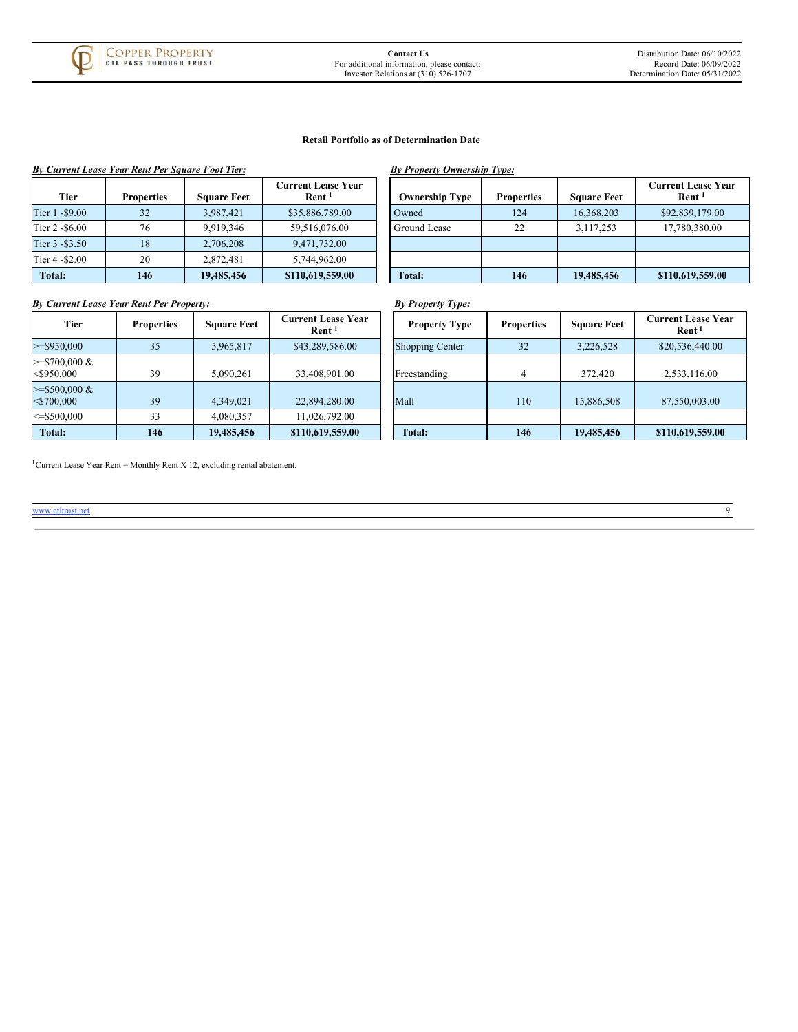

#### **Retail Portfolio as of Determination Date**

|                 | <b>By Current Lease Year Rent Per Square Foot Tier:</b> |                    |                                         | By Property Ownership Type: |                   |                    |                                               |
|-----------------|---------------------------------------------------------|--------------------|-----------------------------------------|-----------------------------|-------------------|--------------------|-----------------------------------------------|
| <b>Tier</b>     | <b>Properties</b>                                       | <b>Square Feet</b> | Current Lease Year<br>Rent <sup>1</sup> | <b>Ownership Type</b>       | <b>Properties</b> | <b>Square Feet</b> | <b>Current Lease Yea</b><br>Rent <sup>1</sup> |
| Tier 1 - \$9.00 | 32                                                      | 3.987.421          | \$35,886,789.00                         | Owned                       | 124               | 16,368,203         | \$92,839,179.00                               |
| Tier 2 - \$6.00 | 76                                                      | 9.919.346          | 59.516.076.00                           | Ground Lease                | 22                | 3,117,253          | 17,780,380.00                                 |
| Tier 3 - \$3.50 | 18                                                      | 2.706.208          | 9.471.732.00                            |                             |                   |                    |                                               |
| Tier 4 - \$2.00 | 20                                                      | 2.872.481          | 5.744.962.00                            |                             |                   |                    |                                               |
| Total:          | 146                                                     | 19,485,456         | \$110,619,559.00                        | Total:                      | 146               | 19,485,456         | \$110,619,559.00                              |

| By Property Ownership Type:        |                       |                   |                    |                                                |  |  |  |  |  |
|------------------------------------|-----------------------|-------------------|--------------------|------------------------------------------------|--|--|--|--|--|
| nt Lease Year<br>Rent <sup>1</sup> | <b>Ownership Type</b> | <b>Properties</b> | <b>Square Feet</b> | <b>Current Lease Year</b><br>Rent <sup>1</sup> |  |  |  |  |  |
| 886,789.00                         | Owned                 | 124               | 16,368,203         | \$92,839,179.00                                |  |  |  |  |  |
| 516,076.00                         | Ground Lease          | 22                | 3,117,253          | 17,780,380.00                                  |  |  |  |  |  |
| 71.732.00                          |                       |                   |                    |                                                |  |  |  |  |  |
| 44.962.00                          |                       |                   |                    |                                                |  |  |  |  |  |
| ,619,559.00                        | Total:                | 146               | 19,485,456         | \$110,619,559.00                               |  |  |  |  |  |

# *By Current Lease Year Rent Per Property: By Property Type:*

|                                   |                   |                    |                                         | $p_1$ roperty ryper    |                   |                    |                                                |
|-----------------------------------|-------------------|--------------------|-----------------------------------------|------------------------|-------------------|--------------------|------------------------------------------------|
| Tier                              | <b>Properties</b> | <b>Square Feet</b> | Current Lease Year<br>Rent <sup>1</sup> | <b>Property Type</b>   | <b>Properties</b> | <b>Square Feet</b> | <b>Current Lease Year</b><br>Rent <sup>1</sup> |
| $>=$ \$950,000                    | 35                | 5,965,817          | \$43,289,586.00                         | <b>Shopping Center</b> | 32                | 3,226,528          | \$20,536,440.00                                |
| $>=$ \$700,000 &<br>$<$ \$950,000 | 39                | 5,090,261          | 33,408,901.00                           | Freestanding           |                   | 372,420            | 2,533,116.00                                   |
| $>=$ \$500,000 &<br>$<$ \$700.000 | 39                | 4,349,021          | 22,894,280.00                           | Mall                   | 110               | 15,886,508         | 87,550,003.00                                  |
| $\le$ = \$500.000                 | 33                | 4,080,357          | 11,026,792.00                           |                        |                   |                    |                                                |
| Total:                            | 146               | 19,485,456         | \$110,619,559.00                        | Total:                 | 146               | 19,485,456         | \$110,619,559.00                               |

<sup>1</sup> Current Lease Year Rent = Monthly Rent X 12, excluding rental abatement.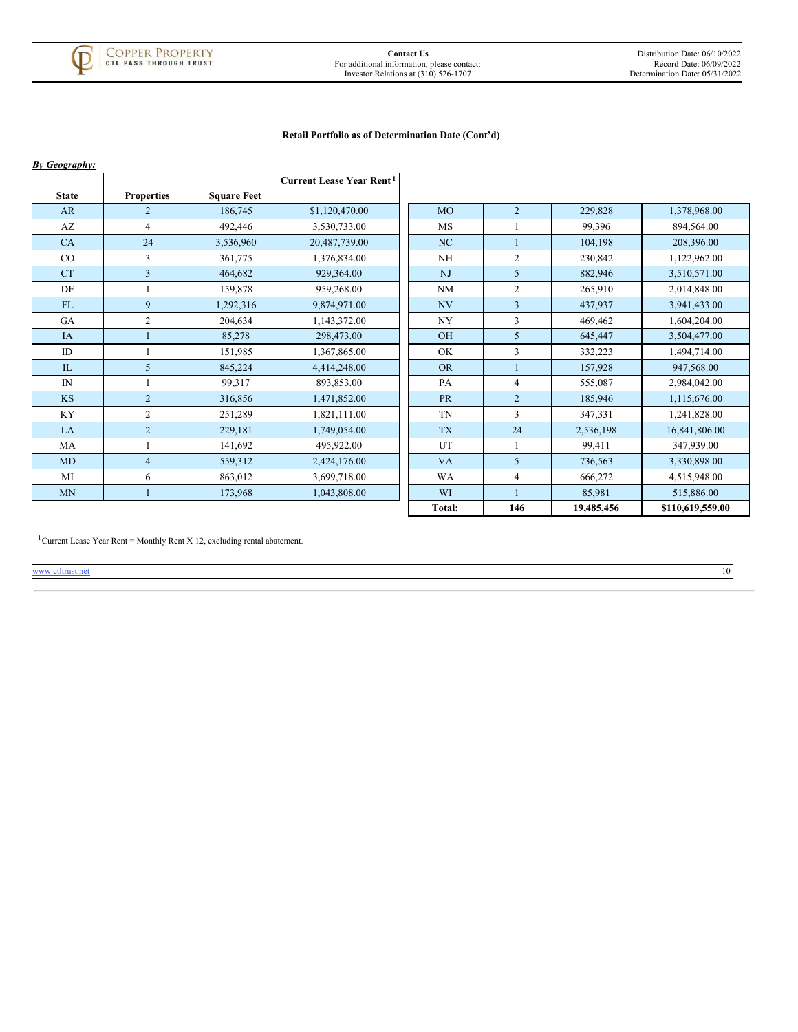

# **Retail Portfolio as of Determination Date (Cont'd)**

| <b>By Geography:</b> |                   |                    |                                      |           |                |            |                  |
|----------------------|-------------------|--------------------|--------------------------------------|-----------|----------------|------------|------------------|
|                      |                   |                    | Current Lease Year Rent <sup>1</sup> |           |                |            |                  |
| <b>State</b>         | <b>Properties</b> | <b>Square Feet</b> |                                      |           |                |            |                  |
| AR                   | $\overline{2}$    | 186,745            | \$1,120,470.00                       | <b>MO</b> | $\overline{2}$ | 229,828    | 1,378,968.00     |
| AZ                   | $\overline{4}$    | 492,446            | 3,530,733.00                         | <b>MS</b> |                | 99,396     | 894.564.00       |
| CA                   | 24                | 3,536,960          | 20,487,739.00                        | NC        |                | 104,198    | 208,396.00       |
| CO                   | 3                 | 361,775            | 1,376,834.00                         | <b>NH</b> | $\overline{c}$ | 230,842    | 1,122,962.00     |
| <b>CT</b>            | $\overline{3}$    | 464,682            | 929,364.00                           | <b>NJ</b> | 5              | 882,946    | 3,510,571.00     |
| DE                   |                   | 159,878            | 959,268.00                           | <b>NM</b> | $\overline{c}$ | 265,910    | 2,014,848.00     |
| FL                   | 9                 | 1,292,316          | 9,874,971.00                         | NV        | $\overline{3}$ | 437,937    | 3,941,433.00     |
| GA                   | $\overline{2}$    | 204,634            | 1.143.372.00                         | <b>NY</b> | $\overline{3}$ | 469,462    | 1,604,204.00     |
| <b>IA</b>            |                   | 85,278             | 298,473.00                           | <b>OH</b> | 5              | 645,447    | 3,504,477.00     |
| ID                   |                   | 151,985            | 1,367,865.00                         | OK        | 3              | 332,223    | 1,494,714.00     |
| IL                   | 5                 | 845,224            | 4,414,248.00                         | <b>OR</b> | $\mathbf{1}$   | 157,928    | 947,568.00       |
| $\mathbb{N}$         |                   | 99,317             | 893,853.00                           | PA        | $\overline{4}$ | 555,087    | 2,984,042.00     |
| <b>KS</b>            | $\overline{2}$    | 316,856            | 1,471,852.00                         | <b>PR</b> | $\overline{2}$ | 185,946    | 1,115,676.00     |
| KY                   | $\overline{c}$    | 251,289            | 1,821,111.00                         | TN        | 3              | 347,331    | 1,241,828.00     |
| LA                   | $\overline{2}$    | 229,181            | 1,749,054.00                         | <b>TX</b> | 24             | 2,536,198  | 16,841,806.00    |
| MA                   | 1                 | 141,692            | 495,922.00                           | UT        | $\mathbf{1}$   | 99,411     | 347,939.00       |
| MD                   | $\overline{4}$    | 559,312            | 2,424,176.00                         | <b>VA</b> | 5              | 736,563    | 3,330,898.00     |
| MI                   | 6                 | 863,012            | 3,699,718.00                         | <b>WA</b> | $\overline{4}$ | 666,272    | 4,515,948.00     |
| <b>MN</b>            | $\mathbf{1}$      | 173,968            | 1,043,808.00                         | WI        |                | 85,981     | 515,886.00       |
|                      |                   |                    |                                      | Total:    | 146            | 19,485,456 | \$110,619,559.00 |

<span id="page-12-0"></span><sup>1</sup> Current Lease Year Rent = Monthly Rent X 12, excluding rental abatement.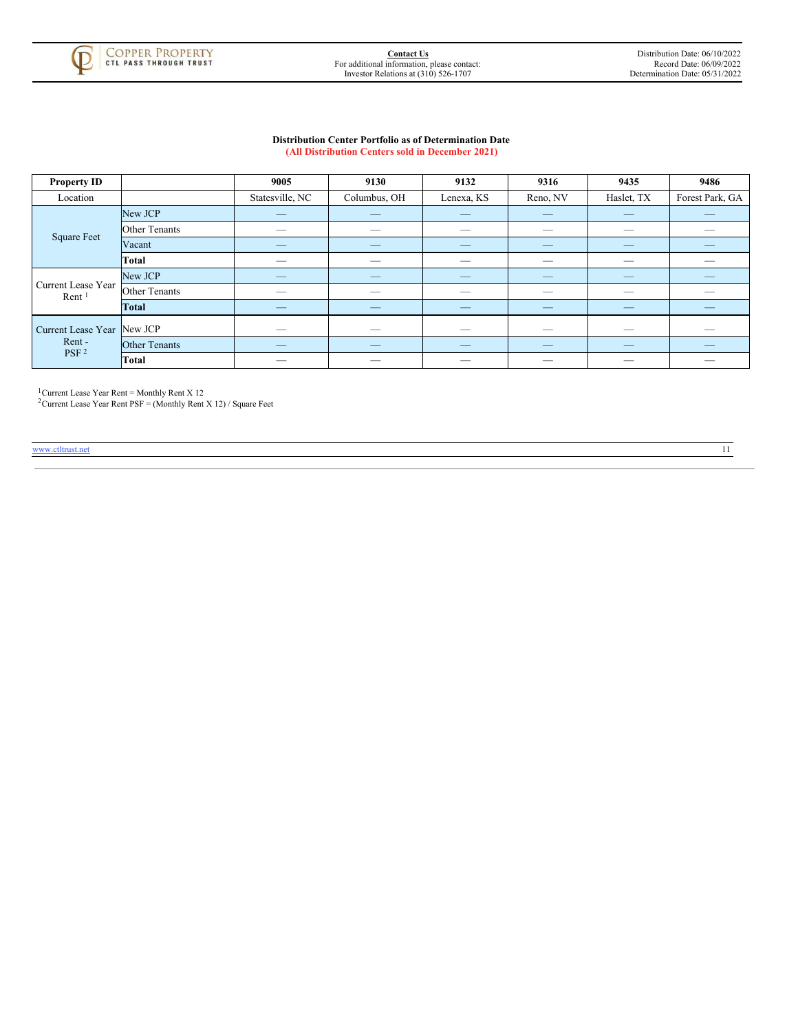

#### **Distribution Center Portfolio as of Determination Date (All Distribution Centers sold in December 2021)**

| <b>Property ID</b>                      |                      | 9005            | 9130         | 9132       | 9316                     | 9435       | 9486                     |
|-----------------------------------------|----------------------|-----------------|--------------|------------|--------------------------|------------|--------------------------|
| Location                                |                      | Statesville, NC | Columbus, OH | Lenexa, KS | Reno, NV                 | Haslet, TX | Forest Park, GA          |
|                                         | New JCP              | _               |              | _          |                          | _          | _                        |
|                                         | <b>Other Tenants</b> |                 |              | _          | __                       | _          |                          |
| <b>Square Feet</b>                      | Vacant               |                 |              |            | _                        |            |                          |
|                                         | <b>Total</b>         |                 |              |            |                          |            |                          |
| Current Lease Year<br>Rent <sup>1</sup> | New JCP              | _               | _            | _          | _                        | _          | _                        |
|                                         | <b>Other Tenants</b> | _               | _            | _          | _                        | -          | _                        |
|                                         | <b>Total</b>         |                 |              |            |                          |            |                          |
| Current Lease Year New JCP<br>Rent-     |                      | _               | _            | _          | $\overline{\phantom{a}}$ |            | _                        |
|                                         | <b>Other Tenants</b> |                 |              |            |                          |            | $\qquad \qquad - \qquad$ |
| PSF <sup>2</sup>                        | <b>Total</b>         |                 |              |            |                          |            |                          |

Current Lease Year Rent = Monthly Rent X 12  $1<sub>1</sub>$ 

<span id="page-13-0"></span>Current Lease Year Rent PSF = (Monthly Rent X 12) / Square Feet 2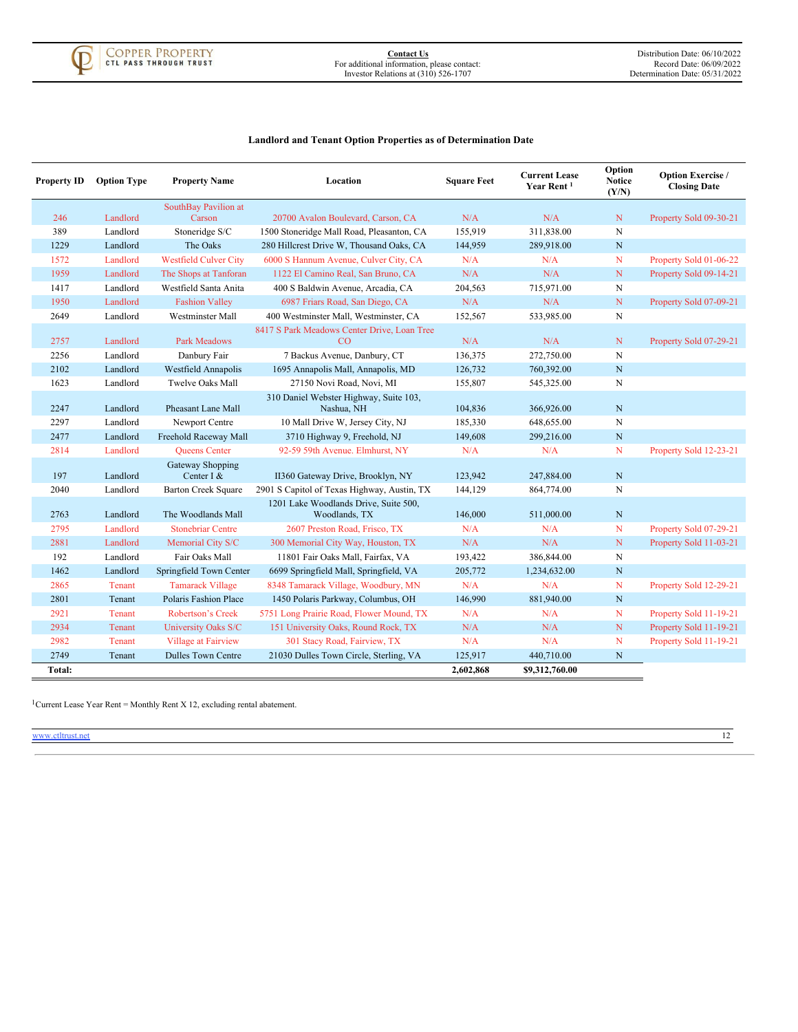<span id="page-14-0"></span>

# **Landlord and Tenant Option Properties as of Determination Date**

| <b>Property ID</b> | <b>Option Type</b> | <b>Property Name</b>           | Location                                               | <b>Square Feet</b> | <b>Current Lease</b><br>Year Rent <sup>1</sup> | Option<br><b>Notice</b><br>(Y/N) | <b>Option Exercise</b> /<br><b>Closing Date</b> |
|--------------------|--------------------|--------------------------------|--------------------------------------------------------|--------------------|------------------------------------------------|----------------------------------|-------------------------------------------------|
|                    |                    | SouthBay Pavilion at           |                                                        |                    |                                                |                                  |                                                 |
| 246                | Landlord           | Carson                         | 20700 Avalon Boulevard, Carson, CA                     | N/A                | N/A                                            | N                                | Property Sold 09-30-21                          |
| 389                | Landlord           | Stoneridge S/C                 | 1500 Stoneridge Mall Road, Pleasanton, CA              | 155,919            | 311,838.00                                     | N                                |                                                 |
| 1229               | Landlord           | The Oaks                       | 280 Hillcrest Drive W, Thousand Oaks, CA               | 144,959            | 289,918.00                                     | $\mathbf N$                      |                                                 |
| 1572               | Landlord           | <b>Westfield Culver City</b>   | 6000 S Hannum Avenue, Culver City, CA                  | N/A                | N/A                                            | N                                | Property Sold 01-06-22                          |
| 1959               | Landlord           | The Shops at Tanforan          | 1122 El Camino Real, San Bruno, CA                     | N/A                | N/A                                            | N                                | Property Sold 09-14-21                          |
| 1417               | Landlord           | Westfield Santa Anita          | 400 S Baldwin Avenue, Arcadia, CA                      | 204,563            | 715,971.00                                     | N                                |                                                 |
| 1950               | Landlord           | <b>Fashion Valley</b>          | 6987 Friars Road, San Diego, CA                        | N/A                | N/A                                            | ${\bf N}$                        | Property Sold 07-09-21                          |
| 2649               | Landlord           | Westminster Mall               | 400 Westminster Mall, Westminster, CA                  | 152,567            | 533,985.00                                     | $\mathbf N$                      |                                                 |
|                    |                    |                                | 8417 S Park Meadows Center Drive, Loan Tree            |                    |                                                |                                  |                                                 |
| 2757               | Landlord           | Park Meadows                   | CO                                                     | N/A                | N/A                                            | ${\bf N}$                        | Property Sold 07-29-21                          |
| 2256               | Landlord           | Danbury Fair                   | 7 Backus Avenue, Danbury, CT                           | 136,375            | 272,750.00                                     | N                                |                                                 |
| 2102               | Landlord           | Westfield Annapolis            | 1695 Annapolis Mall, Annapolis, MD                     | 126,732            | 760,392.00                                     | $\mathbf N$                      |                                                 |
| 1623               | Landlord           | <b>Twelve Oaks Mall</b>        | 27150 Novi Road, Novi, MI                              | 155,807            | 545,325.00                                     | N                                |                                                 |
| 2247               | Landlord           | Pheasant Lane Mall             | 310 Daniel Webster Highway, Suite 103,<br>Nashua, NH   | 104,836            | 366,926.00                                     | $\mathbf N$                      |                                                 |
| 2297               | Landlord           | Newport Centre                 | 10 Mall Drive W, Jersey City, NJ                       | 185,330            | 648,655.00                                     | N                                |                                                 |
| 2477               | Landlord           | Freehold Raceway Mall          | 3710 Highway 9, Freehold, NJ                           | 149,608            | 299,216.00                                     | N                                |                                                 |
| 2814               | Landlord           | <b>Oueens</b> Center           | 92-59 59th Avenue. Elmhurst, NY                        | N/A                | N/A                                            | N                                | Property Sold 12-23-21                          |
| 197                | Landlord           | Gateway Shopping<br>Center I & | II360 Gateway Drive, Brooklyn, NY                      | 123,942            | 247,884.00                                     | $\mathbf N$                      |                                                 |
| 2040               | Landlord           | <b>Barton Creek Square</b>     | 2901 S Capitol of Texas Highway, Austin, TX            | 144,129            | 864,774.00                                     | N                                |                                                 |
| 2763               | Landlord           | The Woodlands Mall             | 1201 Lake Woodlands Drive, Suite 500,<br>Woodlands, TX | 146,000            | 511,000.00                                     | N                                |                                                 |
| 2795               | Landlord           | <b>Stonebriar Centre</b>       | 2607 Preston Road, Frisco, TX                          | N/A                | N/A                                            | $\mathbf N$                      | Property Sold 07-29-21                          |
| 2881               | Landlord           | Memorial City S/C              | 300 Memorial City Way, Houston, TX                     | N/A                | N/A                                            | $\mathbf N$                      | Property Sold 11-03-21                          |
| 192                | Landlord           | Fair Oaks Mall                 | 11801 Fair Oaks Mall, Fairfax, VA                      | 193,422            | 386,844.00                                     | $\mathbf N$                      |                                                 |
| 1462               | Landlord           | Springfield Town Center        | 6699 Springfield Mall, Springfield, VA                 | 205,772            | 1,234,632.00                                   | ${\bf N}$                        |                                                 |
| 2865               | Tenant             | <b>Tamarack Village</b>        | 8348 Tamarack Village, Woodbury, MN                    | N/A                | N/A                                            | N                                | Property Sold 12-29-21                          |
| 2801               | Tenant             | Polaris Fashion Place          | 1450 Polaris Parkway, Columbus, OH                     | 146,990            | 881,940.00                                     | N                                |                                                 |
| 2921               | Tenant             | <b>Robertson's Creek</b>       | 5751 Long Prairie Road, Flower Mound, TX               | N/A                | N/A                                            | N                                | Property Sold 11-19-21                          |
| 2934               | Tenant             | <b>University Oaks S/C</b>     | 151 University Oaks, Round Rock, TX                    | N/A                | N/A                                            | ${\bf N}$                        | Property Sold 11-19-21                          |
| 2982               | Tenant             | <b>Village at Fairview</b>     | 301 Stacy Road, Fairview, TX                           | N/A                | N/A                                            | N                                | Property Sold 11-19-21                          |
| 2749               | Tenant             | <b>Dulles Town Centre</b>      | 21030 Dulles Town Circle, Sterling, VA                 | 125,917            | 440,710.00                                     | N                                |                                                 |
| Total:             |                    |                                |                                                        | 2,602,868          | \$9,312,760.00                                 |                                  |                                                 |

<sup>1</sup> Current Lease Year Rent = Monthly Rent X 12, excluding rental abatement.

<span id="page-14-1"></span>www.ctltrust.net 22 and 22 and 22 and 23 and 23 and 23 and 23 and 23 and 24 and 25 and 26 and 26 and 26 and 26 and 26 and 26 and 26 and 26 and 26 and 26 and 26 and 26 and 26 and 26 and 26 and 26 and 26 and 26 and 26 and 26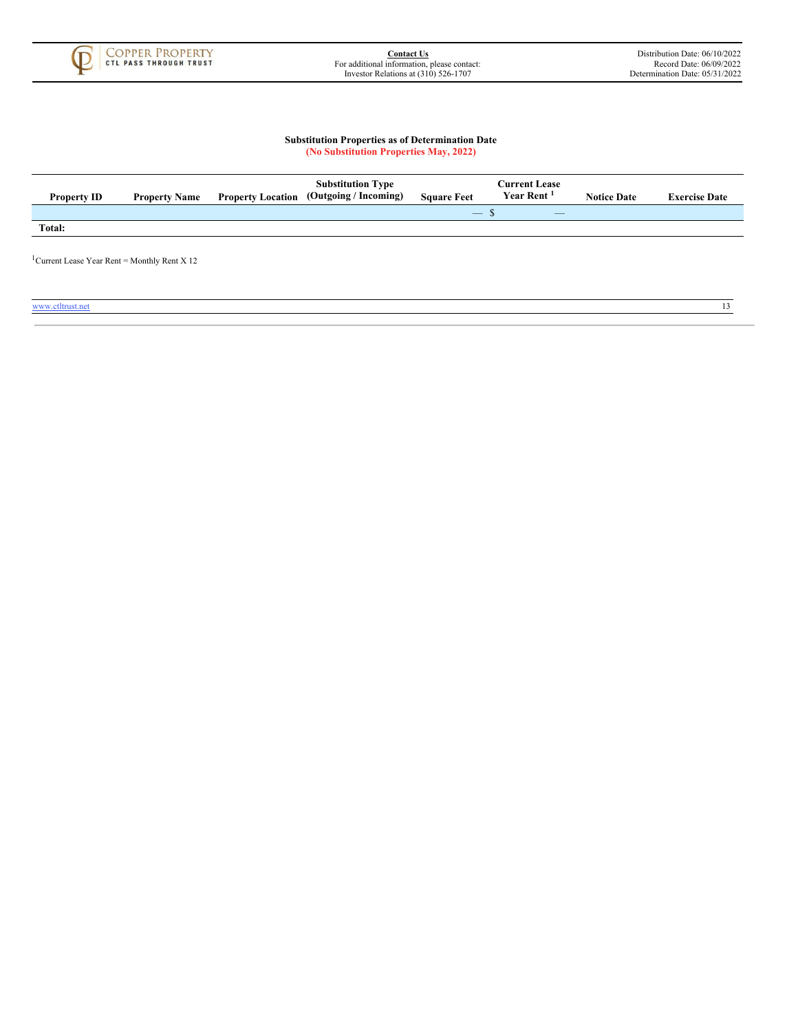

#### **Substitution Properties as of Determination Date (No Substitution Properties May, 2022)**

| <b>Property ID</b> | <b>Property Name</b> | <b>Property Location</b> | <b>Substitution Type</b><br>(Outgoing / Incoming) | <b>Square Feet</b>                        | <b>Current Lease</b><br>Year Rent <sup>1</sup> | <b>Notice Date</b> | <b>Exercise Date</b> |
|--------------------|----------------------|--------------------------|---------------------------------------------------|-------------------------------------------|------------------------------------------------|--------------------|----------------------|
|                    |                      |                          |                                                   | $\qquad \qquad \overline{\qquad \qquad }$ | $\overline{\phantom{a}}$                       |                    |                      |
| Total:             |                      |                          |                                                   |                                           |                                                |                    |                      |
|                    |                      |                          |                                                   |                                           |                                                |                    |                      |

<span id="page-15-0"></span><sup>1</sup> Current Lease Year Rent = Monthly Rent X 12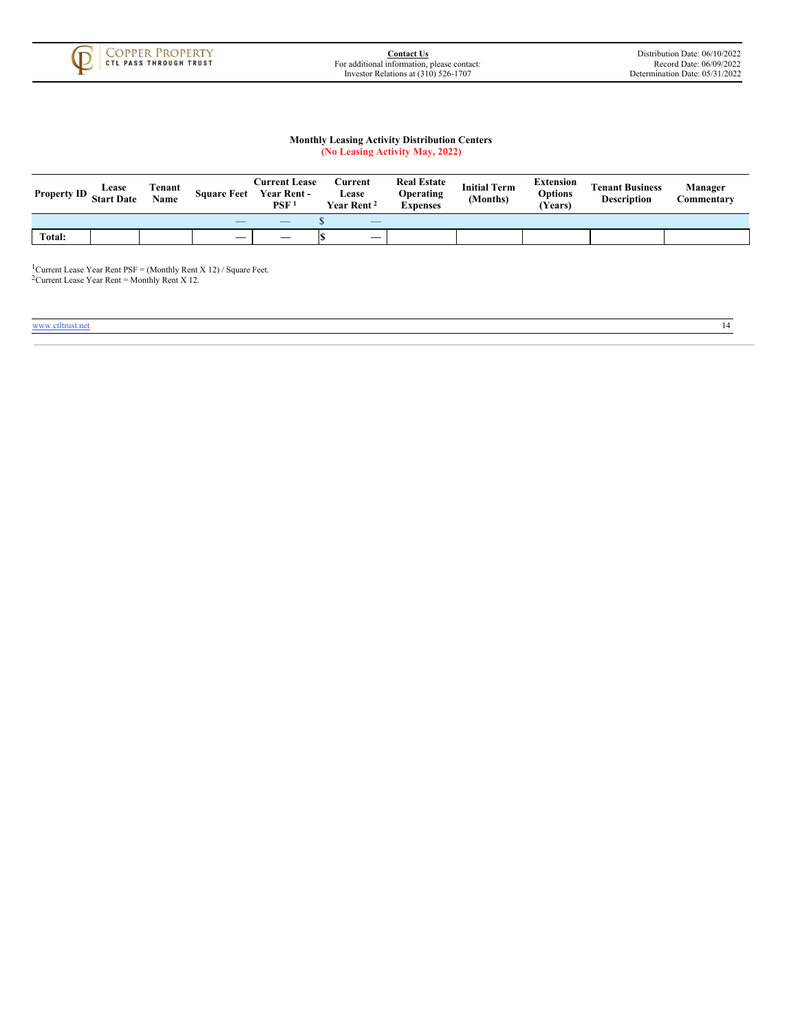

#### **Monthly Leasing Activity Distribution Centers (No Leasing Activity May, 2022)**

| <b>Property ID</b> | Lease<br><b>Start Date</b> | Tenant<br>Name | <b>Square Feet</b>       | <b>Current Lease</b><br><b>Year Rent -</b><br>PSF <sup>1</sup> | Current<br><b>ease</b><br>Year Rent <sup>2</sup> | <b>Real Estate</b><br>Operating<br><b>Expenses</b> | <b>Initial Term</b><br>(Months) | <b>Extension</b><br>Options<br>(Years) | <b>Tenant Business</b><br><b>Description</b> | Manager<br>Commentarv |
|--------------------|----------------------------|----------------|--------------------------|----------------------------------------------------------------|--------------------------------------------------|----------------------------------------------------|---------------------------------|----------------------------------------|----------------------------------------------|-----------------------|
|                    |                            |                | $\overline{\phantom{a}}$ | $\overbrace{\hspace{25mm}}^{}$                                 | $\overline{\phantom{a}}$                         |                                                    |                                 |                                        |                                              |                       |
| Total:             |                            |                | _                        |                                                                |                                                  |                                                    |                                 |                                        |                                              |                       |

<span id="page-16-0"></span>Current Lease Year Rent  $PSF = (Monthly Rent X 12) / Square Feet.$ Current Lease Year Rent = Monthly Rent X 12.  $\mathbf{1}_{\ell}$  $\overline{2}$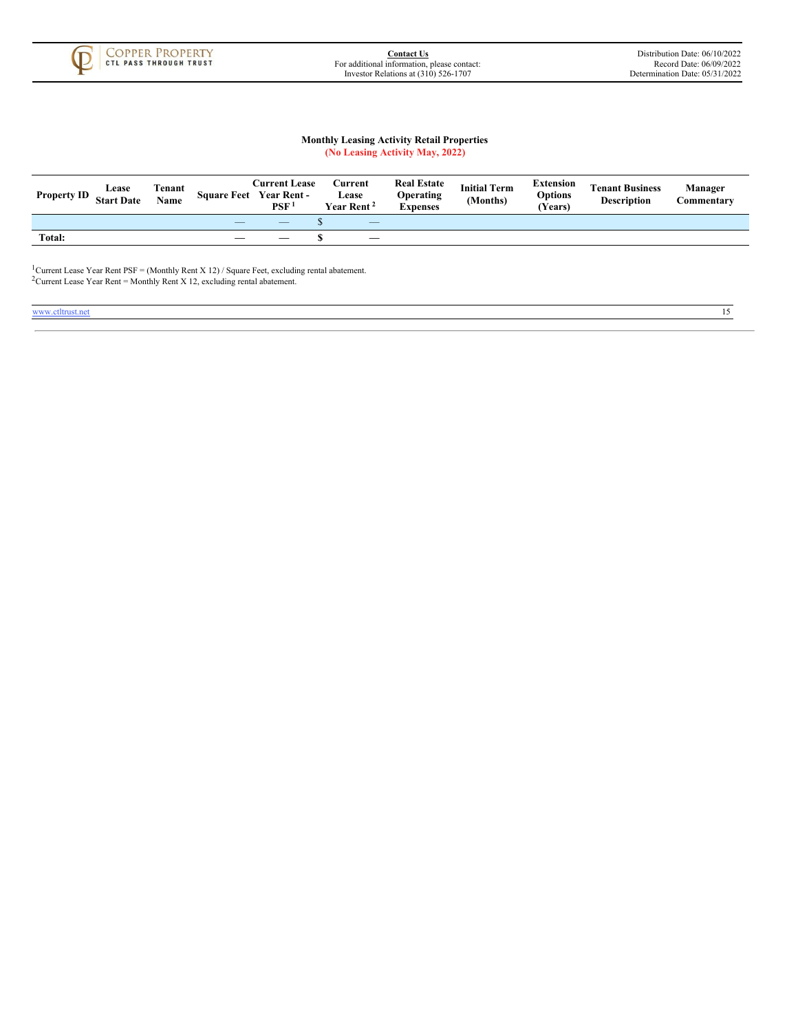

# **Monthly Leasing Activity Retail Properties (No Leasing Activity May, 2022)**

| <b>Property ID</b> | Lease<br><b>Start Date</b> | Tenant<br>Name | <b>Square Feet</b>       | <b>Current Lease</b><br>Year Rent -<br><b>PSF</b> | Current<br>Lease<br>Year Rent <sup>2</sup> | <b>Real Estate</b><br>Operating<br>Expenses | <b>Initial Term</b><br>(Months) | <b>Extension</b><br>Options<br>Years) | <b>Tenant Business</b><br><b>Description</b> | Manager<br>Commentarv |
|--------------------|----------------------------|----------------|--------------------------|---------------------------------------------------|--------------------------------------------|---------------------------------------------|---------------------------------|---------------------------------------|----------------------------------------------|-----------------------|
|                    |                            |                | $\overline{\phantom{a}}$ | $-$                                               | $\overline{\phantom{a}}$                   |                                             |                                 |                                       |                                              |                       |
| Total:             |                            |                | _                        |                                                   |                                            |                                             |                                 |                                       |                                              |                       |

<span id="page-17-0"></span>Current Lease Year Rent PSF = (Monthly Rent X 12) / Square Feet, excluding rental abatement. Current Lease Year Rent = Monthly Rent  $X$  12, excluding rental abatement.  $1<sub>1</sub>$  $\overline{2}_0$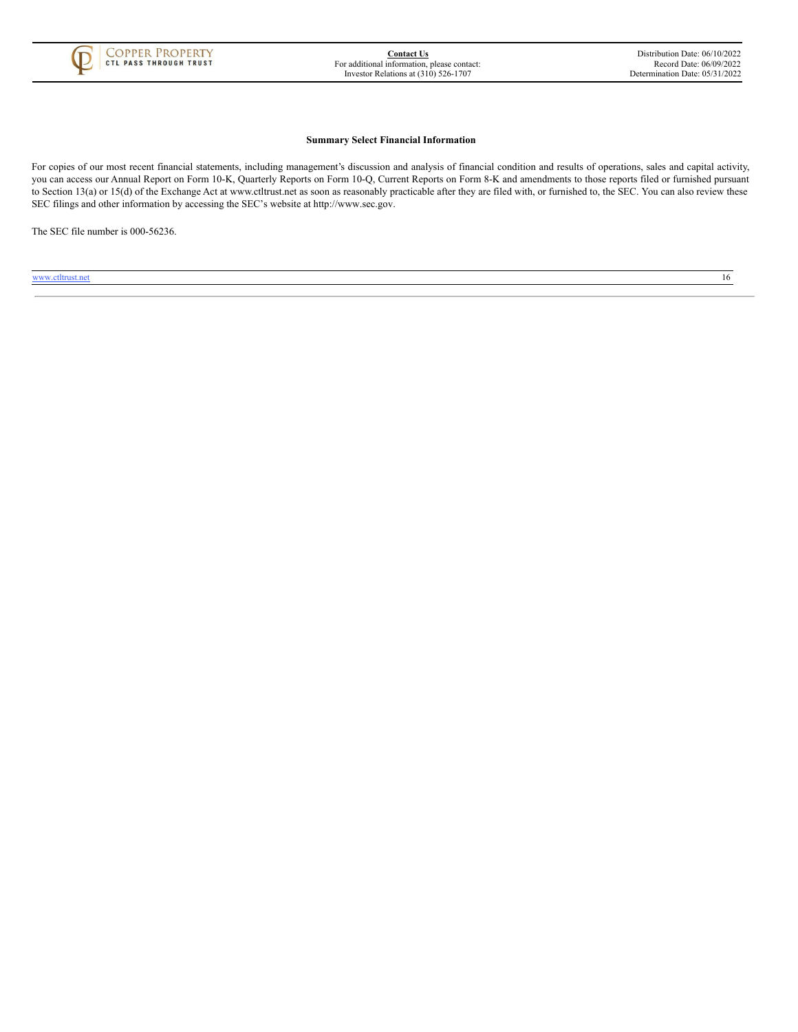

#### **Summary Select Financial Information**

For copies of our most recent financial statements, including management's discussion and analysis of financial condition and results of operations, sales and capital activity, you can access our Annual Report on Form 10-K, Quarterly Reports on Form 10-Q, Current Reports on Form 8-K and amendments to those reports filed or furnished pursuant to Section 13(a) or 15(d) of the Exchange Act at www.ctltrust.net as soon as reasonably practicable after they are filed with, or furnished to, the SEC. You can also review these SEC filings and other information by accessing the SEC's website at http://www.sec.gov.

<span id="page-18-0"></span>The SEC file number is 000-56236.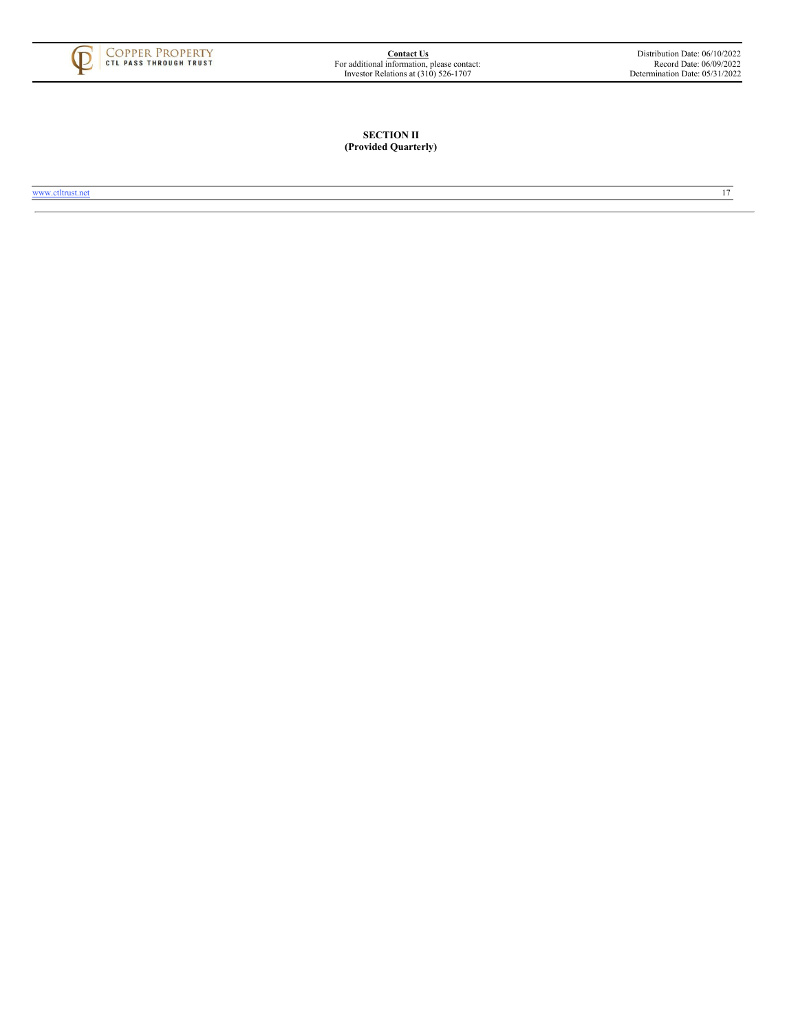<span id="page-19-0"></span>

# **SECTION II (Provided Quarterly)**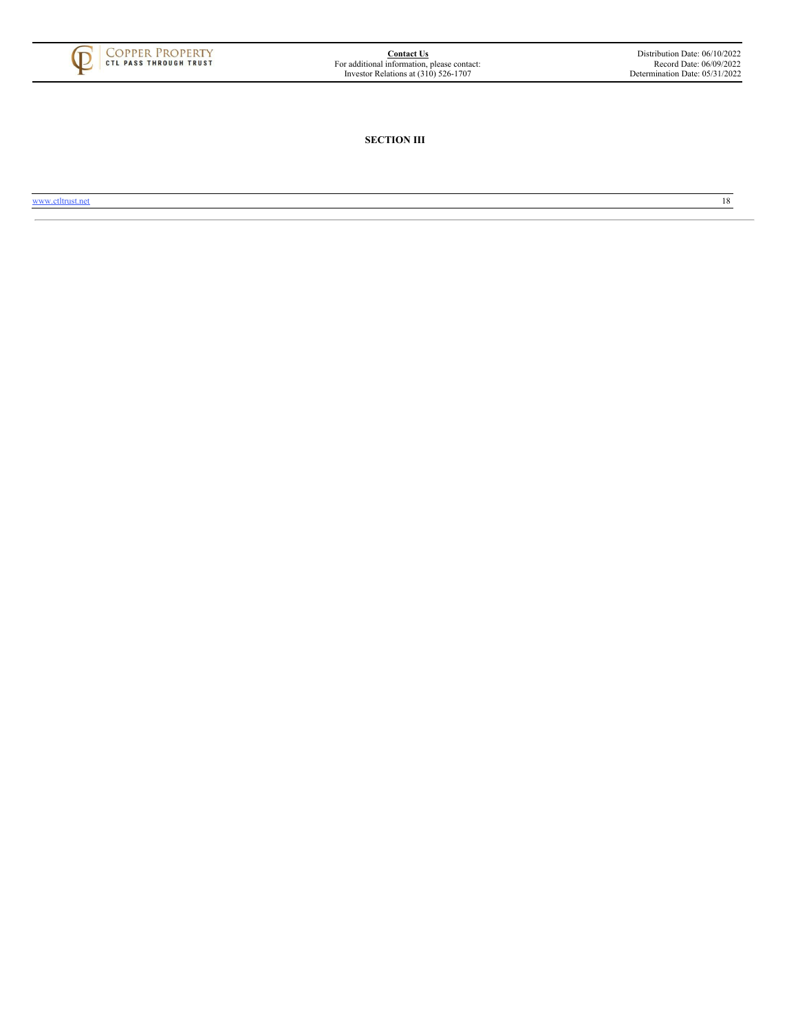<span id="page-20-0"></span>

**SECTION III**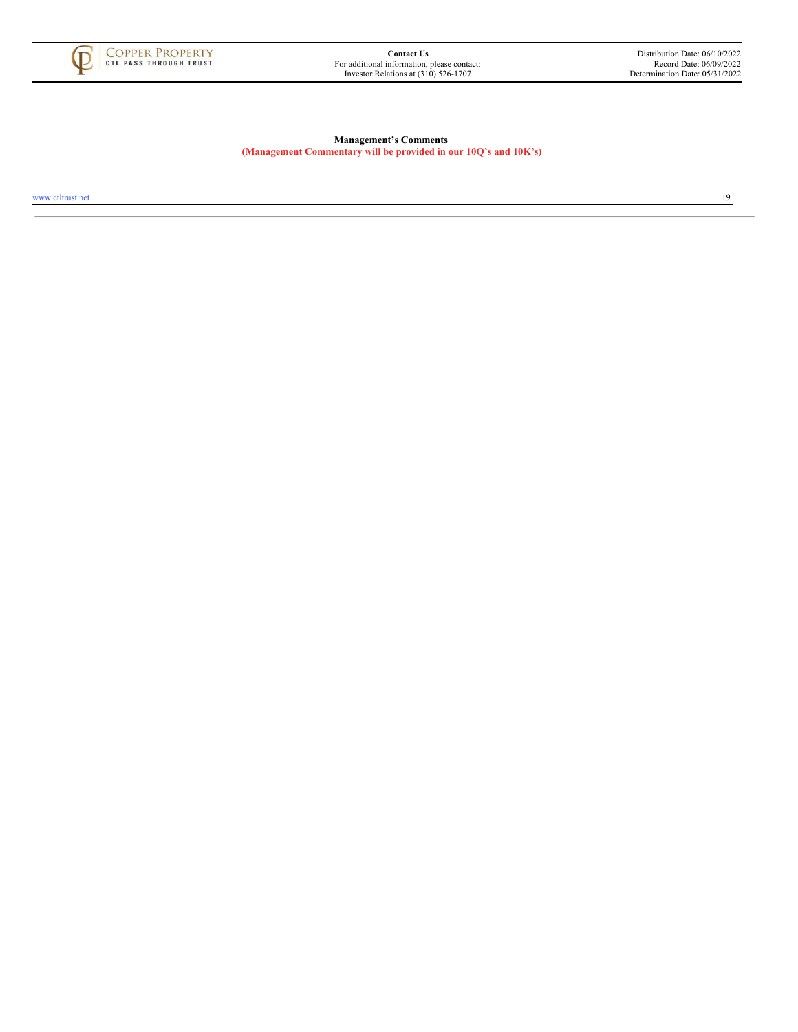<span id="page-21-0"></span>

# **Management's Comments (Management Commentary will be provided in our 10Q's and 10K's)**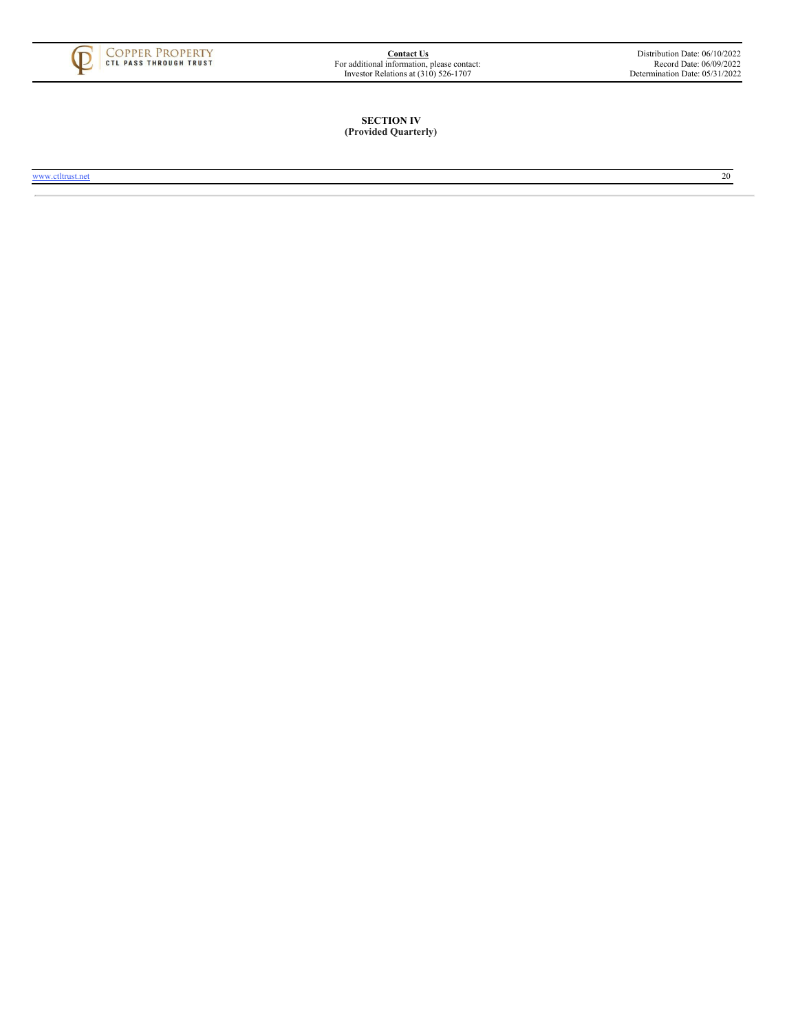

# **SECTION IV (Provided Quarterly)**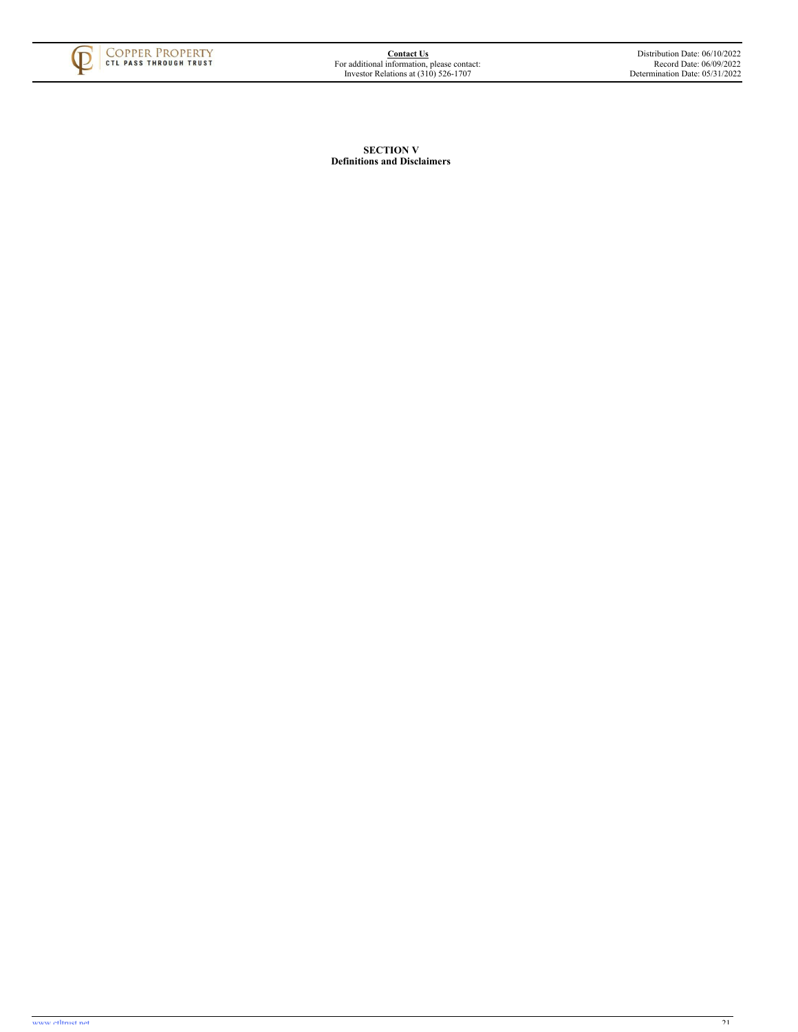<span id="page-23-0"></span>

**SECTION V Definitions and Disclaimers**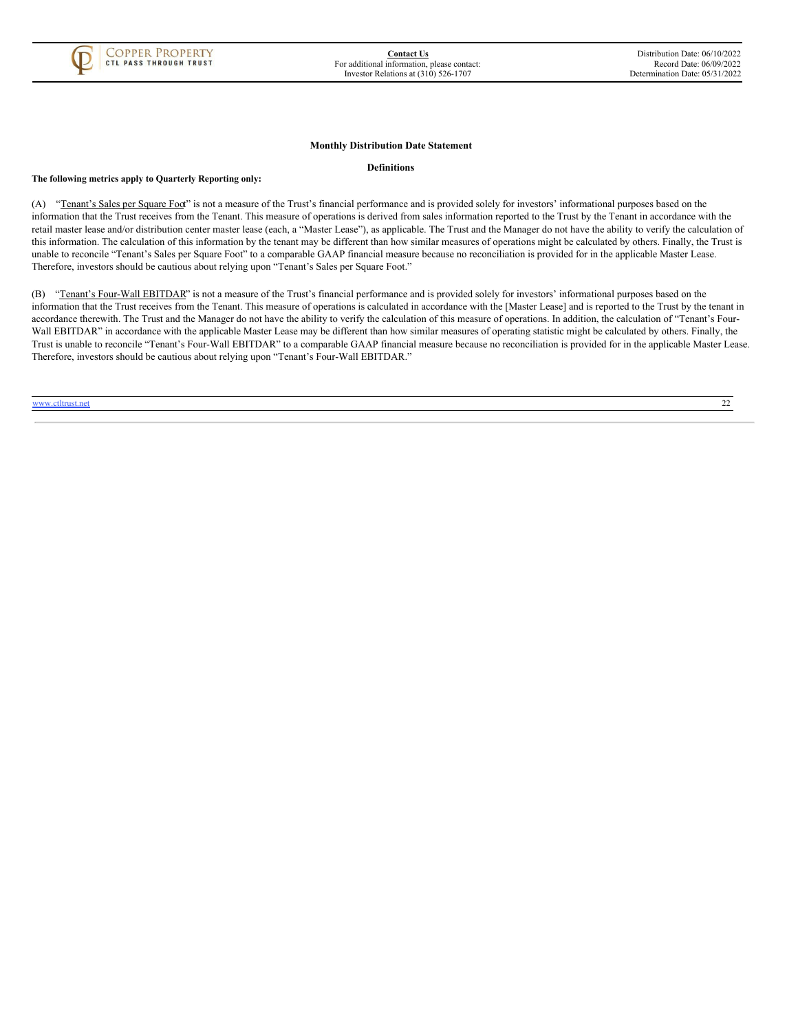

#### **Monthly Distribution Date Statement**

#### **Definitions**

**The following metrics apply to Quarterly Reporting only:**

(A) "Tenant's Sales per Square Foot" is not a measure of the Trust's financial performance and is provided solely for investors' informational purposes based on the information that the Trust receives from the Tenant. This measure of operations is derived from sales information reported to the Trust by the Tenant in accordance with the retail master lease and/or distribution center master lease (each, a "Master Lease"), as applicable. The Trust and the Manager do not have the ability to verify the calculation of this information. The calculation of this information by the tenant may be different than how similar measures of operations might be calculated by others. Finally, the Trust is unable to reconcile "Tenant's Sales per Square Foot" to a comparable GAAP financial measure because no reconciliation is provided for in the applicable Master Lease. Therefore, investors should be cautious about relying upon "Tenant's Sales per Square Foot."

<span id="page-25-0"></span>(B) "Tenant's Four-Wall EBITDAR" is not a measure of the Trust's financial performance and is provided solely for investors' informational purposes based on the information that the Trust receives from the Tenant. This measure of operations is calculated in accordance with the [Master Lease] and is reported to the Trust by the tenant in accordance therewith. The Trust and the Manager do not have the ability to verify the calculation of this measure of operations. In addition, the calculation of "Tenant's Four-Wall EBITDAR" in accordance with the applicable Master Lease may be different than how similar measures of operating statistic might be calculated by others. Finally, the Trust is unable to reconcile "Tenant's Four-Wall EBITDAR" to a comparable GAAP financial measure because no reconciliation is provided for in the applicable Master Lease. Therefore, investors should be cautious about relying upon "Tenant's Four-Wall EBITDAR."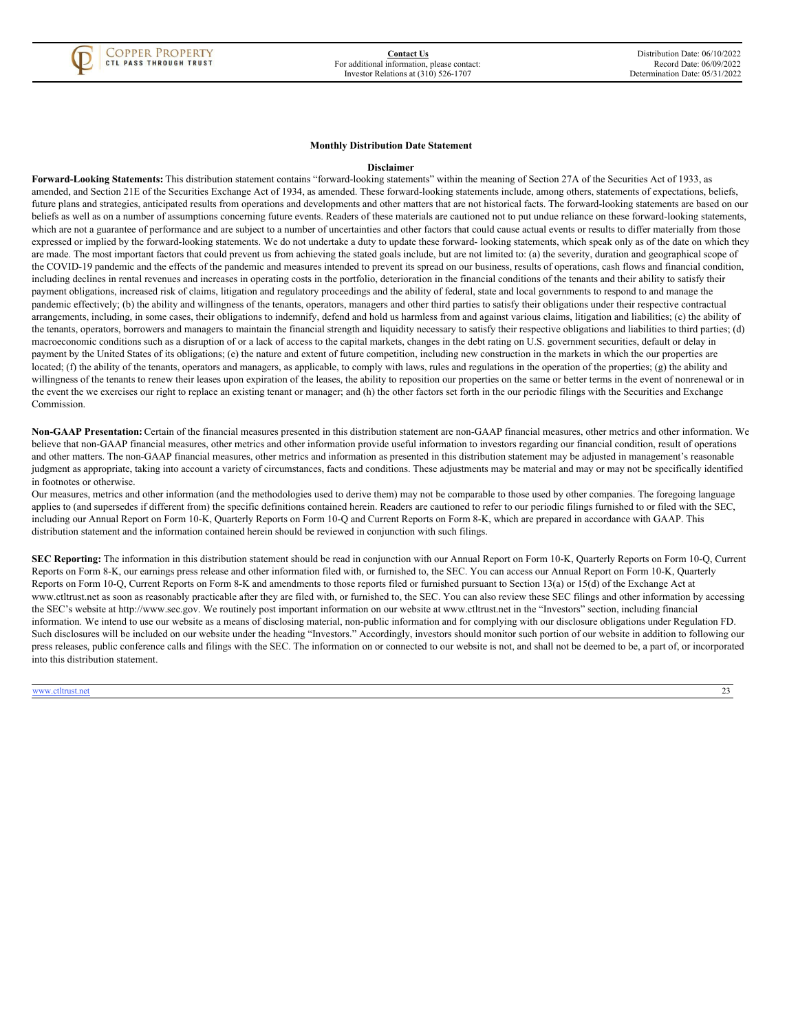

# **Monthly Distribution Date Statement**

#### **Disclaimer**

**Forward-Looking Statements:** This distribution statement contains "forward-looking statements" within the meaning of Section 27A of the Securities Act of 1933, as amended, and Section 21E of the Securities Exchange Act of 1934, as amended. These forward-looking statements include, among others, statements of expectations, beliefs, future plans and strategies, anticipated results from operations and developments and other matters that are not historical facts. The forward-looking statements are based on our beliefs as well as on a number of assumptions concerning future events. Readers of these materials are cautioned not to put undue reliance on these forward-looking statements, which are not a guarantee of performance and are subject to a number of uncertainties and other factors that could cause actual events or results to differ materially from those expressed or implied by the forward-looking statements. We do not undertake a duty to update these forward- looking statements, which speak only as of the date on which they are made. The most important factors that could prevent us from achieving the stated goals include, but are not limited to: (a) the severity, duration and geographical scope of the COVID-19 pandemic and the effects of the pandemic and measures intended to prevent its spread on our business, results of operations, cash flows and financial condition, including declines in rental revenues and increases in operating costs in the portfolio, deterioration in the financial conditions of the tenants and their ability to satisfy their payment obligations, increased risk of claims, litigation and regulatory proceedings and the ability of federal, state and local governments to respond to and manage the pandemic effectively; (b) the ability and willingness of the tenants, operators, managers and other third parties to satisfy their obligations under their respective contractual arrangements, including, in some cases, their obligations to indemnify, defend and hold us harmless from and against various claims, litigation and liabilities; (c) the ability of the tenants, operators, borrowers and managers to maintain the financial strength and liquidity necessary to satisfy their respective obligations and liabilities to third parties; (d) macroeconomic conditions such as a disruption of or a lack of access to the capital markets, changes in the debt rating on U.S. government securities, default or delay in payment by the United States of its obligations; (e) the nature and extent of future competition, including new construction in the markets in which the our properties are located; (f) the ability of the tenants, operators and managers, as applicable, to comply with laws, rules and regulations in the operation of the properties; (g) the ability and willingness of the tenants to renew their leases upon expiration of the leases, the ability to reposition our properties on the same or better terms in the event of nonrenewal or in the event the we exercises our right to replace an existing tenant or manager; and (h) the other factors set forth in the our periodic filings with the Securities and Exchange Commission.

**Non-GAAP Presentation:** Certain of the financial measures presented in this distribution statement are non-GAAP financial measures, other metrics and other information. We believe that non-GAAP financial measures, other metrics and other information provide useful information to investors regarding our financial condition, result of operations and other matters. The non-GAAP financial measures, other metrics and information as presented in this distribution statement may be adjusted in management's reasonable judgment as appropriate, taking into account a variety of circumstances, facts and conditions. These adjustments may be material and may or may not be specifically identified in footnotes or otherwise.

Our measures, metrics and other information (and the methodologies used to derive them) may not be comparable to those used by other companies. The foregoing language applies to (and supersedes if different from) the specific definitions contained herein. Readers are cautioned to refer to our periodic filings furnished to or filed with the SEC, including our Annual Report on Form 10-K, Quarterly Reports on Form 10-Q and Current Reports on Form 8-K, which are prepared in accordance with GAAP. This distribution statement and the information contained herein should be reviewed in conjunction with such filings.

**SEC Reporting:** The information in this distribution statement should be read in conjunction with our Annual Report on Form 10-K, Quarterly Reports on Form 10-Q, Current Reports on Form 8-K, our earnings press release and other information filed with, or furnished to, the SEC. You can access our Annual Report on Form 10-K, Quarterly Reports on Form 10-Q, Current Reports on Form 8-K and amendments to those reports filed or furnished pursuant to Section 13(a) or 15(d) of the Exchange Act at www.ctltrust.net as soon as reasonably practicable after they are filed with, or furnished to, the SEC. You can also review these SEC filings and other information by accessing the SEC's website at http://www.sec.gov. We routinely post important information on our website at www.ctltrust.net in the "Investors" section, including financial information. We intend to use our website as a means of disclosing material, non-public information and for complying with our disclosure obligations under Regulation FD. Such disclosures will be included on our website under the heading "Investors." Accordingly, investors should monitor such portion of our website in addition to following our press releases, public conference calls and filings with the SEC. The information on or connected to our website is not, and shall not be deemed to be, a part of, or incorporated into this distribution statement.